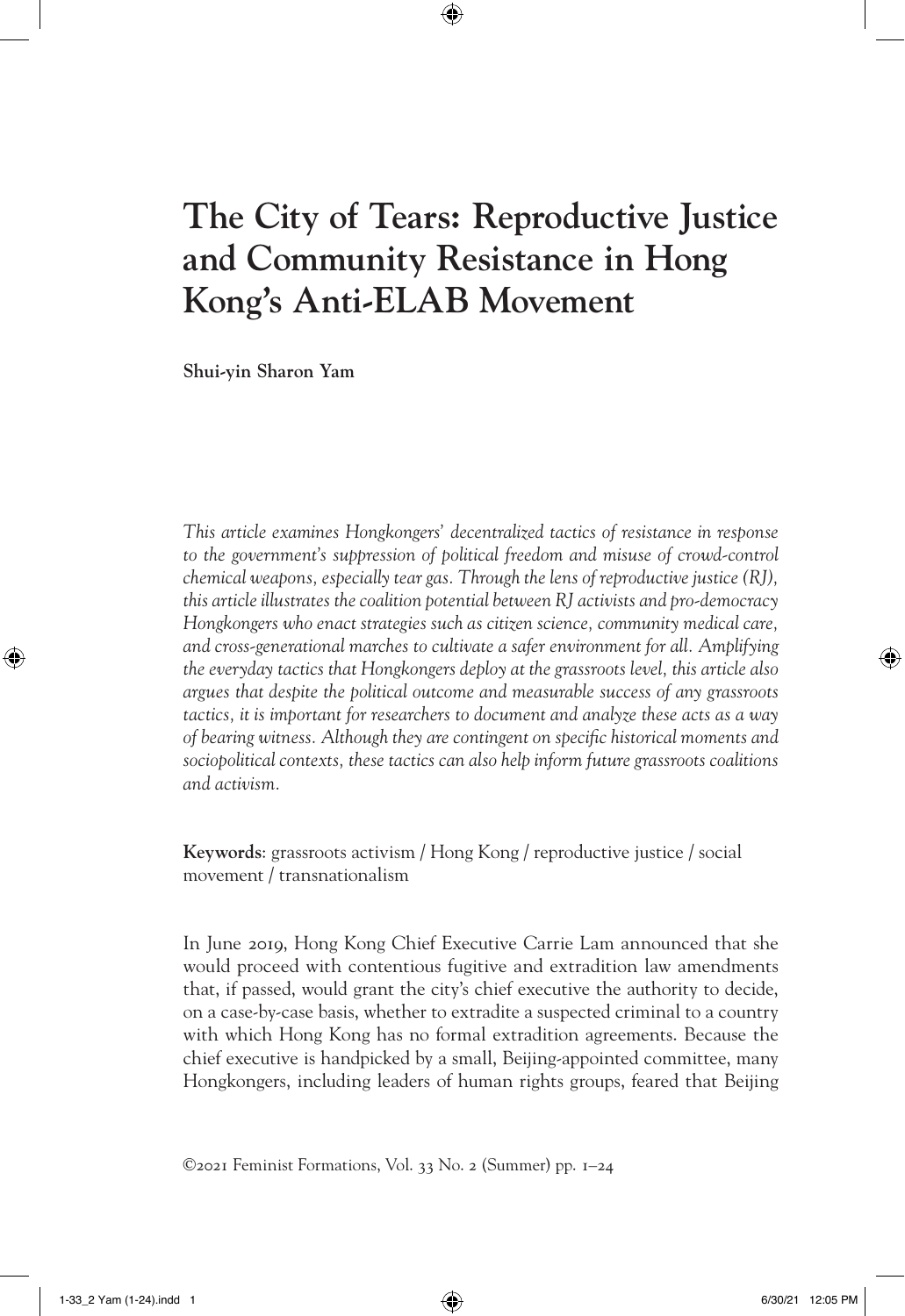# **The City of Tears: Reproductive Justice and Community Resistance in Hong Kong's Anti-ELAB Movement**

⊕

**Shui-yin Sharon Yam**

*This article examines Hongkongers' decentralized tactics of resistance in response*  to the government's suppression of political freedom and misuse of crowd-control *chemical weapons, especially tear gas. Through the lens of reproductive justice (RJ), this article illustrates the coalition potential between RJ activists and pro-democracy Hongkongers who enact strategies such as citizen science, community medical care, and cross-generational marches to cultivate a safer environment for all. Amplifying the everyday tactics that Hongkongers deploy at the grassroots level, this article also argues that despite the political outcome and measurable success of any grassroots tactics, it is important for researchers to document and analyze these acts as a way of bearing witness. Although they are contingent on specific historical moments and sociopolitical contexts, these tactics can also help inform future grassroots coalitions and activism.*

**Keywords**: grassroots activism / Hong Kong / reproductive justice / social movement / transnationalism

In June 2019, Hong Kong Chief Executive Carrie Lam announced that she would proceed with contentious fugitive and extradition law amendments that, if passed, would grant the city's chief executive the authority to decide, on a case-by-case basis, whether to extradite a suspected criminal to a country with which Hong Kong has no formal extradition agreements. Because the chief executive is handpicked by a small, Beijing-appointed committee, many Hongkongers, including leaders of human rights groups, feared that Beijing

©2021 Feminist Formations, Vol. 33 No. 2 (Summer) pp. 1–24

⊕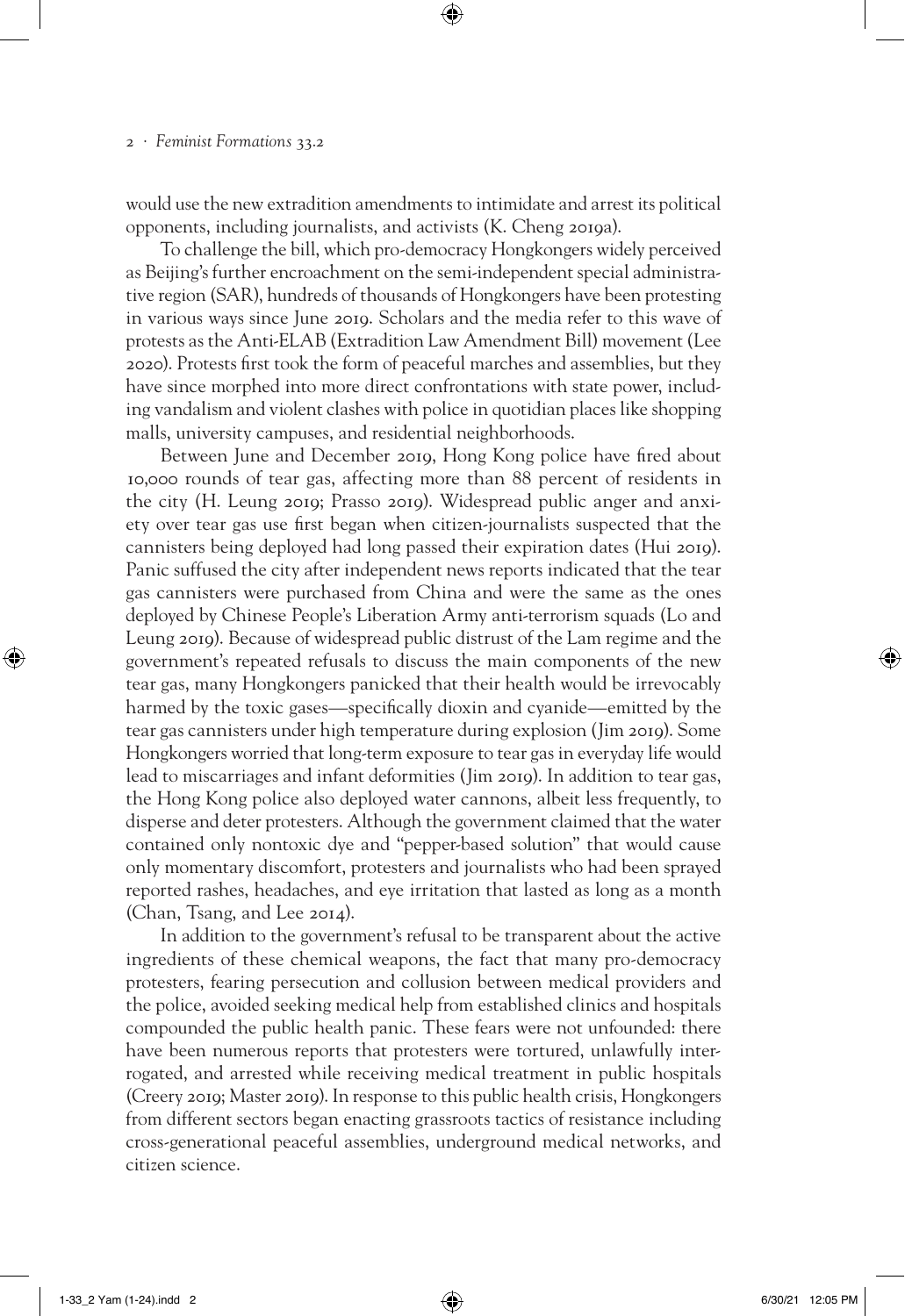would use the new extradition amendments to intimidate and arrest its political opponents, including journalists, and activists (K. Cheng 2019a).

⊕

To challenge the bill, which pro-democracy Hongkongers widely perceived as Beijing's further encroachment on the semi-independent special administrative region (SAR), hundreds of thousands of Hongkongers have been protesting in various ways since June 2019. Scholars and the media refer to this wave of protests as the Anti-ELAB (Extradition Law Amendment Bill) movement (Lee 2020). Protests first took the form of peaceful marches and assemblies, but they have since morphed into more direct confrontations with state power, including vandalism and violent clashes with police in quotidian places like shopping malls, university campuses, and residential neighborhoods.

Between June and December 2019, Hong Kong police have fired about 10,000 rounds of tear gas, affecting more than 88 percent of residents in the city (H. Leung 2019; Prasso 2019). Widespread public anger and anxiety over tear gas use first began when citizen-journalists suspected that the cannisters being deployed had long passed their expiration dates (Hui 2019). Panic suffused the city after independent news reports indicated that the tear gas cannisters were purchased from China and were the same as the ones deployed by Chinese People's Liberation Army anti-terrorism squads (Lo and Leung 2019). Because of widespread public distrust of the Lam regime and the government's repeated refusals to discuss the main components of the new tear gas, many Hongkongers panicked that their health would be irrevocably harmed by the toxic gases—specifically dioxin and cyanide—emitted by the tear gas cannisters under high temperature during explosion (Jim 2019). Some Hongkongers worried that long-term exposure to tear gas in everyday life would lead to miscarriages and infant deformities (Jim 2019). In addition to tear gas, the Hong Kong police also deployed water cannons, albeit less frequently, to disperse and deter protesters. Although the government claimed that the water contained only nontoxic dye and "pepper-based solution" that would cause only momentary discomfort, protesters and journalists who had been sprayed reported rashes, headaches, and eye irritation that lasted as long as a month (Chan, Tsang, and Lee 2014).

In addition to the government's refusal to be transparent about the active ingredients of these chemical weapons, the fact that many pro-democracy protesters, fearing persecution and collusion between medical providers and the police, avoided seeking medical help from established clinics and hospitals compounded the public health panic. These fears were not unfounded: there have been numerous reports that protesters were tortured, unlawfully interrogated, and arrested while receiving medical treatment in public hospitals (Creery 2019; Master 2019). In response to this public health crisis, Hongkongers from different sectors began enacting grassroots tactics of resistance including cross-generational peaceful assemblies, underground medical networks, and citizen science.

1-33\_2 Yam (1-24).indd 2 6/30/21 12:05 PM

⊕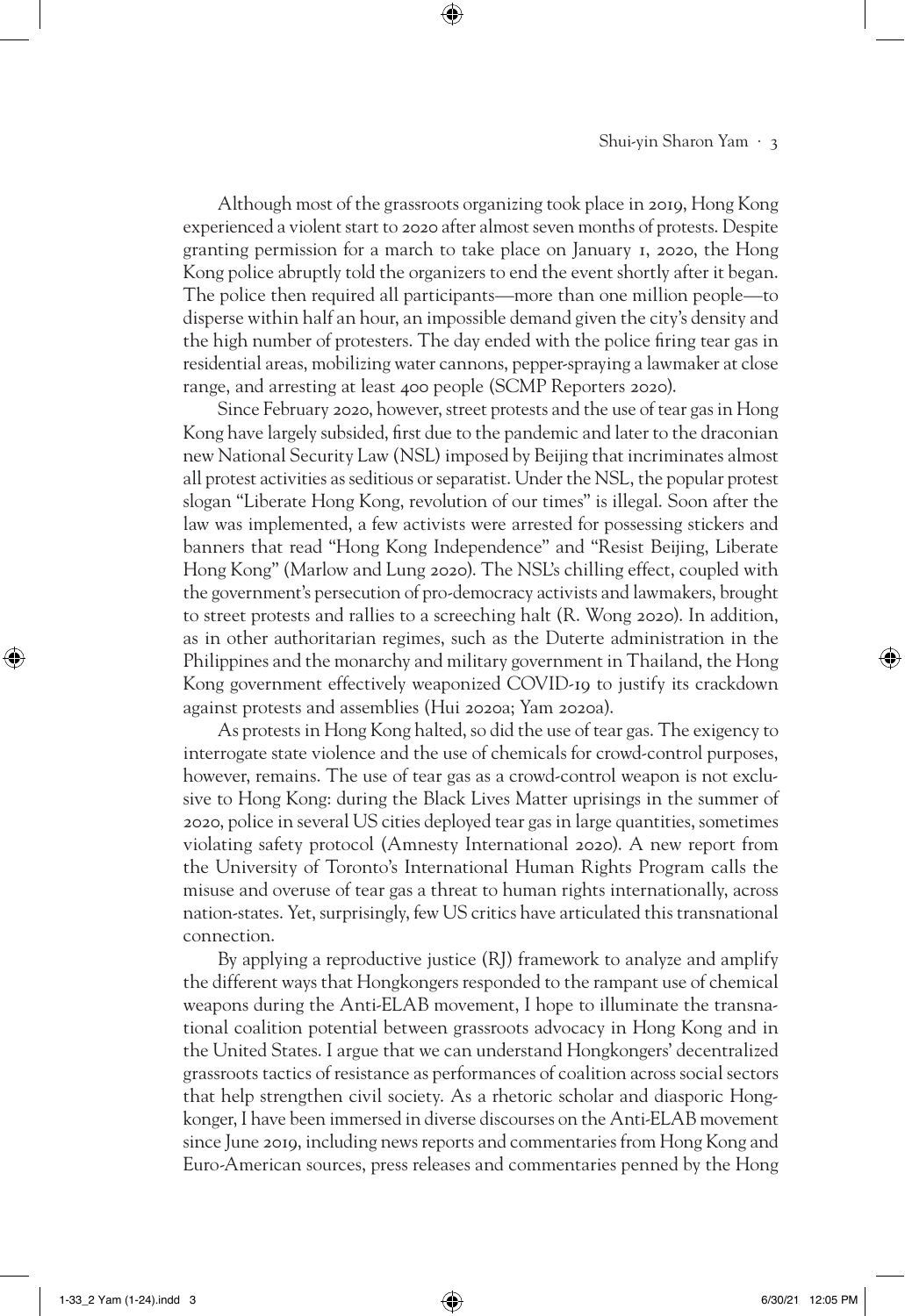## Shui-yin Sharon Yam · 3

Although most of the grassroots organizing took place in 2019, Hong Kong experienced a violent start to 2020 after almost seven months of protests. Despite granting permission for a march to take place on January 1, 2020, the Hong Kong police abruptly told the organizers to end the event shortly after it began. The police then required all participants—more than one million people—to disperse within half an hour, an impossible demand given the city's density and the high number of protesters. The day ended with the police firing tear gas in residential areas, mobilizing water cannons, pepper-spraying a lawmaker at close range, and arresting at least 400 people (SCMP Reporters 2020).

⊕

Since February 2020, however, street protests and the use of tear gas in Hong Kong have largely subsided, first due to the pandemic and later to the draconian new National Security Law (NSL) imposed by Beijing that incriminates almost all protest activities as seditious or separatist. Under the NSL, the popular protest slogan "Liberate Hong Kong, revolution of our times" is illegal. Soon after the law was implemented, a few activists were arrested for possessing stickers and banners that read "Hong Kong Independence" and "Resist Beijing, Liberate Hong Kong" (Marlow and Lung 2020). The NSL's chilling effect, coupled with the government's persecution of pro-democracy activists and lawmakers, brought to street protests and rallies to a screeching halt (R. Wong 2020). In addition, as in other authoritarian regimes, such as the Duterte administration in the Philippines and the monarchy and military government in Thailand, the Hong Kong government effectively weaponized COVID-19 to justify its crackdown against protests and assemblies (Hui 2020a; Yam 2020a).

As protests in Hong Kong halted, so did the use of tear gas. The exigency to interrogate state violence and the use of chemicals for crowd-control purposes, however, remains. The use of tear gas as a crowd-control weapon is not exclusive to Hong Kong: during the Black Lives Matter uprisings in the summer of 2020, police in several US cities deployed tear gas in large quantities, sometimes violating safety protocol (Amnesty International 2020). A new report from the University of Toronto's International Human Rights Program calls the misuse and overuse of tear gas a threat to human rights internationally, across nation-states. Yet, surprisingly, few US critics have articulated this transnational connection.

By applying a reproductive justice (RJ) framework to analyze and amplify the different ways that Hongkongers responded to the rampant use of chemical weapons during the Anti-ELAB movement, I hope to illuminate the transnational coalition potential between grassroots advocacy in Hong Kong and in the United States. I argue that we can understand Hongkongers' decentralized grassroots tactics of resistance as performances of coalition across social sectors that help strengthen civil society. As a rhetoric scholar and diasporic Hongkonger, I have been immersed in diverse discourses on the Anti-ELAB movement since June 2019, including news reports and commentaries from Hong Kong and Euro-American sources, press releases and commentaries penned by the Hong

⊕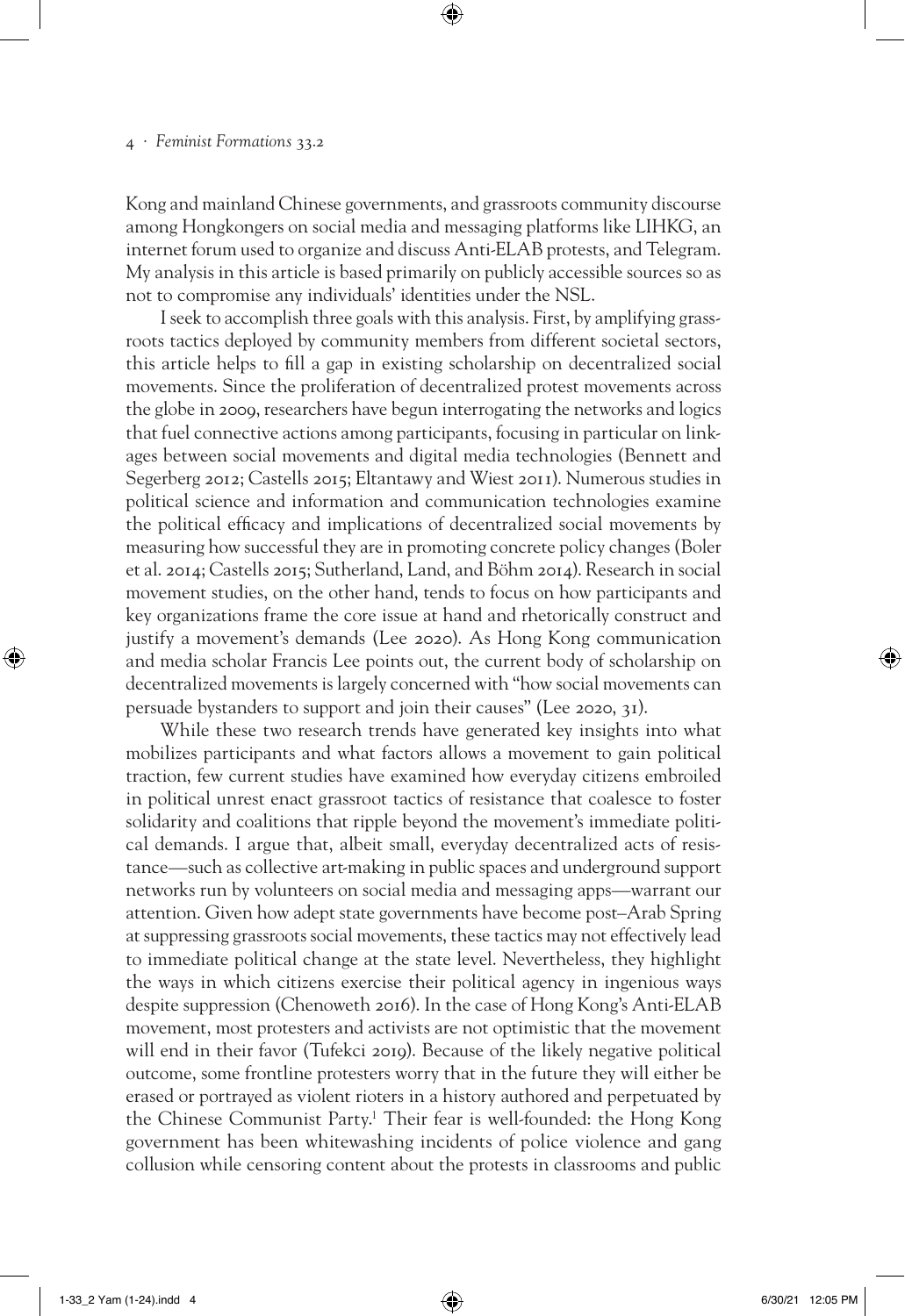Kong and mainland Chinese governments, and grassroots community discourse among Hongkongers on social media and messaging platforms like LIHKG, an internet forum used to organize and discuss Anti-ELAB protests, and Telegram. My analysis in this article is based primarily on publicly accessible sources so as not to compromise any individuals' identities under the NSL.

⊕

I seek to accomplish three goals with this analysis. First, by amplifying grassroots tactics deployed by community members from different societal sectors, this article helps to fill a gap in existing scholarship on decentralized social movements. Since the proliferation of decentralized protest movements across the globe in 2009, researchers have begun interrogating the networks and logics that fuel connective actions among participants, focusing in particular on linkages between social movements and digital media technologies (Bennett and Segerberg 2012; Castells 2015; Eltantawy and Wiest 2011). Numerous studies in political science and information and communication technologies examine the political efficacy and implications of decentralized social movements by measuring how successful they are in promoting concrete policy changes (Boler et al. 2014; Castells 2015; Sutherland, Land, and Böhm 2014). Research in social movement studies, on the other hand, tends to focus on how participants and key organizations frame the core issue at hand and rhetorically construct and justify a movement's demands (Lee 2020). As Hong Kong communication and media scholar Francis Lee points out, the current body of scholarship on decentralized movements is largely concerned with "how social movements can persuade bystanders to support and join their causes" (Lee 2020, 31).

While these two research trends have generated key insights into what mobilizes participants and what factors allows a movement to gain political traction, few current studies have examined how everyday citizens embroiled in political unrest enact grassroot tactics of resistance that coalesce to foster solidarity and coalitions that ripple beyond the movement's immediate political demands. I argue that, albeit small, everyday decentralized acts of resistance—such as collective art-making in public spaces and underground support networks run by volunteers on social media and messaging apps—warrant our attention. Given how adept state governments have become post–Arab Spring at suppressing grassroots social movements, these tactics may not effectively lead to immediate political change at the state level. Nevertheless, they highlight the ways in which citizens exercise their political agency in ingenious ways despite suppression (Chenoweth 2016). In the case of Hong Kong's Anti-ELAB movement, most protesters and activists are not optimistic that the movement will end in their favor (Tufekci 2019). Because of the likely negative political outcome, some frontline protesters worry that in the future they will either be erased or portrayed as violent rioters in a history authored and perpetuated by the Chinese Communist Party.1 Their fear is well-founded: the Hong Kong government has been whitewashing incidents of police violence and gang collusion while censoring content about the protests in classrooms and public

⊕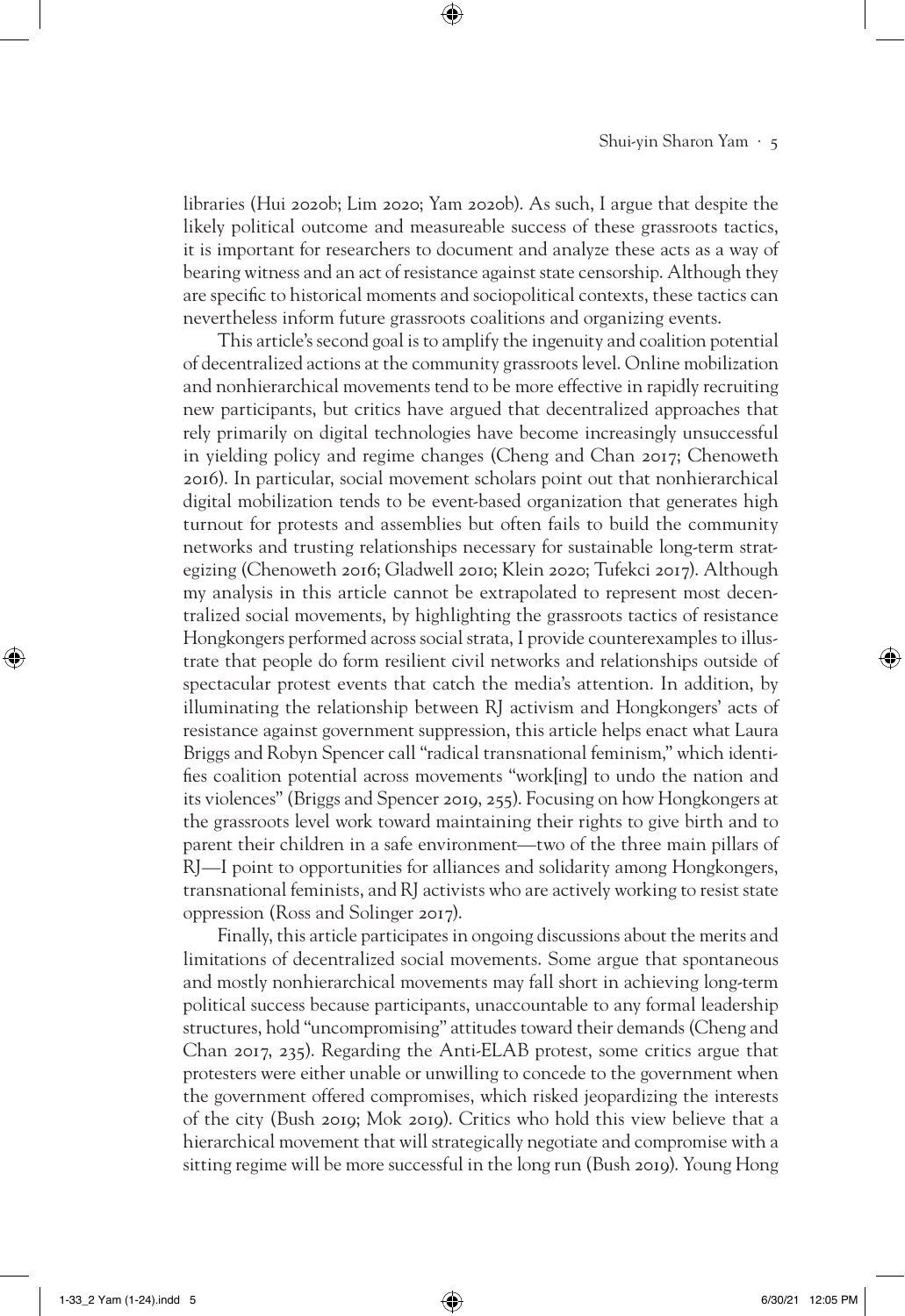libraries (Hui 2020b; Lim 2020; Yam 2020b). As such, I argue that despite the likely political outcome and measureable success of these grassroots tactics, it is important for researchers to document and analyze these acts as a way of bearing witness and an act of resistance against state censorship. Although they are specific to historical moments and sociopolitical contexts, these tactics can nevertheless inform future grassroots coalitions and organizing events.

⊕

This article's second goal is to amplify the ingenuity and coalition potential of decentralized actions at the community grassroots level. Online mobilization and nonhierarchical movements tend to be more effective in rapidly recruiting new participants, but critics have argued that decentralized approaches that rely primarily on digital technologies have become increasingly unsuccessful in yielding policy and regime changes (Cheng and Chan 2017; Chenoweth 2016). In particular, social movement scholars point out that nonhierarchical digital mobilization tends to be event-based organization that generates high turnout for protests and assemblies but often fails to build the community networks and trusting relationships necessary for sustainable long-term strategizing (Chenoweth 2016; Gladwell 2010; Klein 2020; Tufekci 2017). Although my analysis in this article cannot be extrapolated to represent most decentralized social movements, by highlighting the grassroots tactics of resistance Hongkongers performed across social strata, I provide counterexamples to illustrate that people do form resilient civil networks and relationships outside of spectacular protest events that catch the media's attention. In addition, by illuminating the relationship between RJ activism and Hongkongers' acts of resistance against government suppression, this article helps enact what Laura Briggs and Robyn Spencer call "radical transnational feminism," which identifies coalition potential across movements "work[ing] to undo the nation and its violences" (Briggs and Spencer 2019, 255). Focusing on how Hongkongers at the grassroots level work toward maintaining their rights to give birth and to parent their children in a safe environment—two of the three main pillars of RJ—I point to opportunities for alliances and solidarity among Hongkongers, transnational feminists, and RJ activists who are actively working to resist state oppression (Ross and Solinger 2017).

Finally, this article participates in ongoing discussions about the merits and limitations of decentralized social movements. Some argue that spontaneous and mostly nonhierarchical movements may fall short in achieving long-term political success because participants, unaccountable to any formal leadership structures, hold "uncompromising" attitudes toward their demands (Cheng and Chan 2017, 235). Regarding the Anti-ELAB protest, some critics argue that protesters were either unable or unwilling to concede to the government when the government offered compromises, which risked jeopardizing the interests of the city (Bush 2019; Mok 2019). Critics who hold this view believe that a hierarchical movement that will strategically negotiate and compromise with a sitting regime will be more successful in the long run (Bush 2019). Young Hong

1-33\_2 Yam (1-24).indd 5 6/30/21 12:05 PM

⊕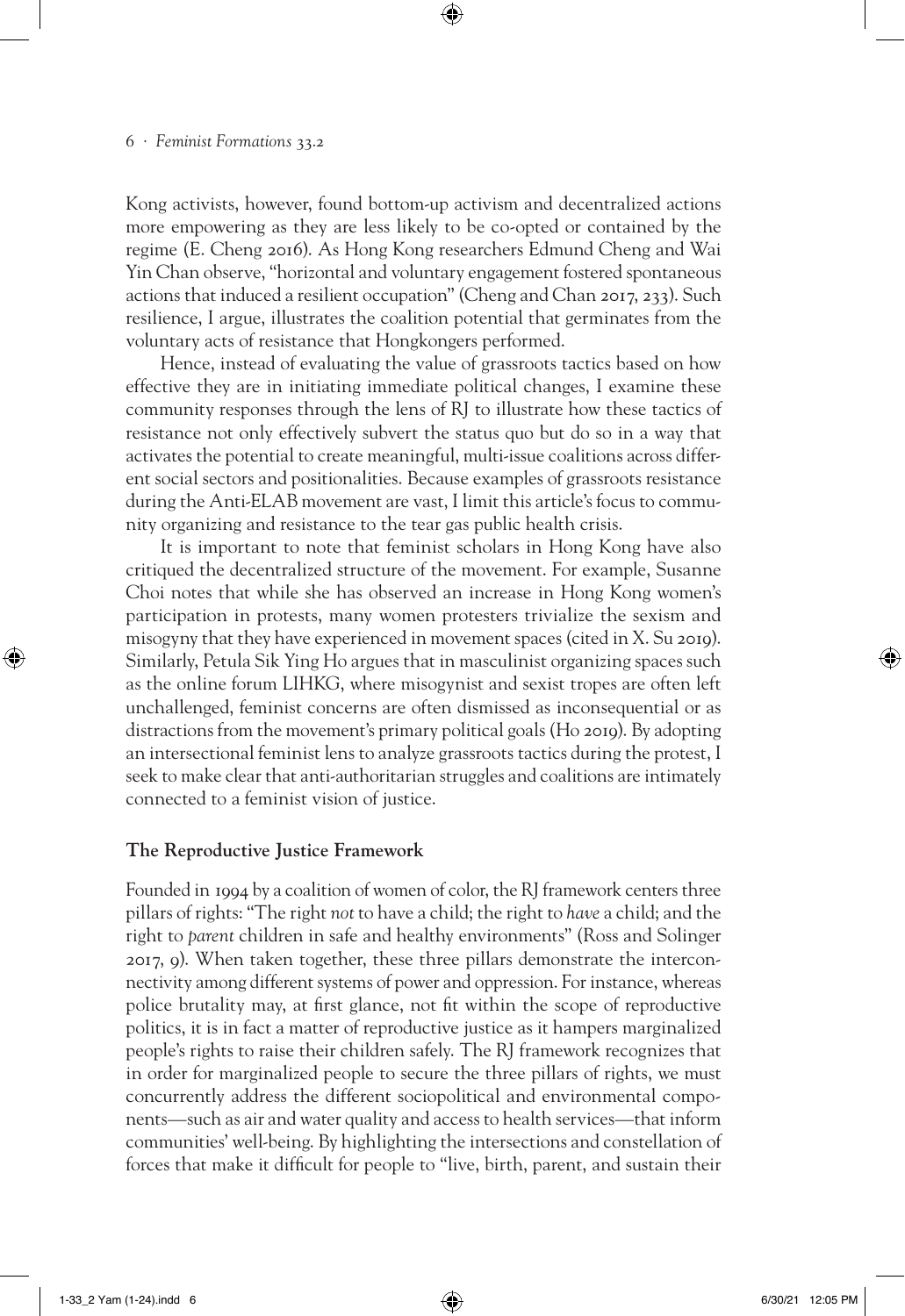Kong activists, however, found bottom-up activism and decentralized actions more empowering as they are less likely to be co-opted or contained by the regime (E. Cheng 2016). As Hong Kong researchers Edmund Cheng and Wai Yin Chan observe, "horizontal and voluntary engagement fostered spontaneous actions that induced a resilient occupation" (Cheng and Chan 2017, 233). Such resilience, I argue, illustrates the coalition potential that germinates from the voluntary acts of resistance that Hongkongers performed.

⊕

Hence, instead of evaluating the value of grassroots tactics based on how effective they are in initiating immediate political changes, I examine these community responses through the lens of RJ to illustrate how these tactics of resistance not only effectively subvert the status quo but do so in a way that activates the potential to create meaningful, multi-issue coalitions across different social sectors and positionalities. Because examples of grassroots resistance during the Anti-ELAB movement are vast, I limit this article's focus to community organizing and resistance to the tear gas public health crisis.

It is important to note that feminist scholars in Hong Kong have also critiqued the decentralized structure of the movement. For example, Susanne Choi notes that while she has observed an increase in Hong Kong women's participation in protests, many women protesters trivialize the sexism and misogyny that they have experienced in movement spaces (cited in X. Su 2019). Similarly, Petula Sik Ying Ho argues that in masculinist organizing spaces such as the online forum LIHKG, where misogynist and sexist tropes are often left unchallenged, feminist concerns are often dismissed as inconsequential or as distractions from the movement's primary political goals (Ho 2019). By adopting an intersectional feminist lens to analyze grassroots tactics during the protest, I seek to make clear that anti-authoritarian struggles and coalitions are intimately connected to a feminist vision of justice.

# **The Reproductive Justice Framework**

Founded in 1994 by a coalition of women of color, the RJ framework centers three pillars of rights: "The right *not* to have a child; the right to *have* a child; and the right to *parent* children in safe and healthy environments" (Ross and Solinger 2017, 9). When taken together, these three pillars demonstrate the interconnectivity among different systems of power and oppression. For instance, whereas police brutality may, at first glance, not fit within the scope of reproductive politics, it is in fact a matter of reproductive justice as it hampers marginalized people's rights to raise their children safely. The RJ framework recognizes that in order for marginalized people to secure the three pillars of rights, we must concurrently address the different sociopolitical and environmental components—such as air and water quality and access to health services—that inform communities' well-being. By highlighting the intersections and constellation of forces that make it difficult for people to "live, birth, parent, and sustain their

⊕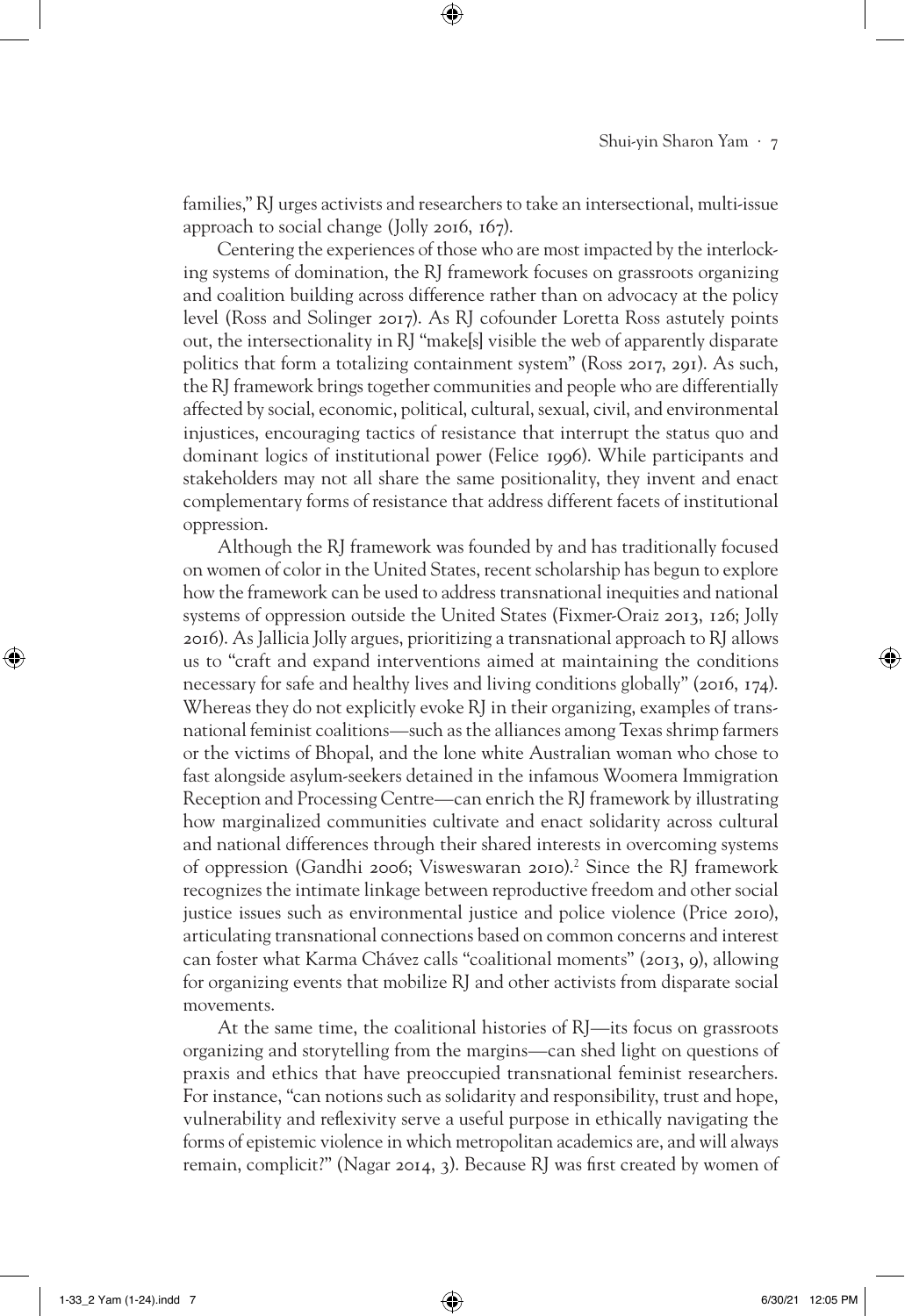families," RJ urges activists and researchers to take an intersectional, multi-issue approach to social change (Jolly 2016, 167).

⊕

Centering the experiences of those who are most impacted by the interlocking systems of domination, the RJ framework focuses on grassroots organizing and coalition building across difference rather than on advocacy at the policy level (Ross and Solinger 2017). As RJ cofounder Loretta Ross astutely points out, the intersectionality in RJ "make[s] visible the web of apparently disparate politics that form a totalizing containment system" (Ross 2017, 291). As such, the RJ framework brings together communities and people who are differentially affected by social, economic, political, cultural, sexual, civil, and environmental injustices, encouraging tactics of resistance that interrupt the status quo and dominant logics of institutional power (Felice 1996). While participants and stakeholders may not all share the same positionality, they invent and enact complementary forms of resistance that address different facets of institutional oppression.

Although the RJ framework was founded by and has traditionally focused on women of color in the United States, recent scholarship has begun to explore how the framework can be used to address transnational inequities and national systems of oppression outside the United States (Fixmer-Oraiz 2013, 126; Jolly 2016). As Jallicia Jolly argues, prioritizing a transnational approach to RJ allows us to "craft and expand interventions aimed at maintaining the conditions necessary for safe and healthy lives and living conditions globally" (2016, 174). Whereas they do not explicitly evoke RJ in their organizing, examples of transnational feminist coalitions—such as the alliances among Texas shrimp farmers or the victims of Bhopal, and the lone white Australian woman who chose to fast alongside asylum-seekers detained in the infamous Woomera Immigration Reception and Processing Centre—can enrich the RJ framework by illustrating how marginalized communities cultivate and enact solidarity across cultural and national differences through their shared interests in overcoming systems of oppression (Gandhi 2006; Visweswaran 2010).<sup>2</sup> Since the RJ framework recognizes the intimate linkage between reproductive freedom and other social justice issues such as environmental justice and police violence (Price 2010), articulating transnational connections based on common concerns and interest can foster what Karma Chávez calls "coalitional moments" (2013, 9), allowing for organizing events that mobilize RJ and other activists from disparate social movements.

At the same time, the coalitional histories of RJ—its focus on grassroots organizing and storytelling from the margins—can shed light on questions of praxis and ethics that have preoccupied transnational feminist researchers. For instance, "can notions such as solidarity and responsibility, trust and hope, vulnerability and reflexivity serve a useful purpose in ethically navigating the forms of epistemic violence in which metropolitan academics are, and will always remain, complicit?" (Nagar 2014, 3). Because RJ was first created by women of

⊕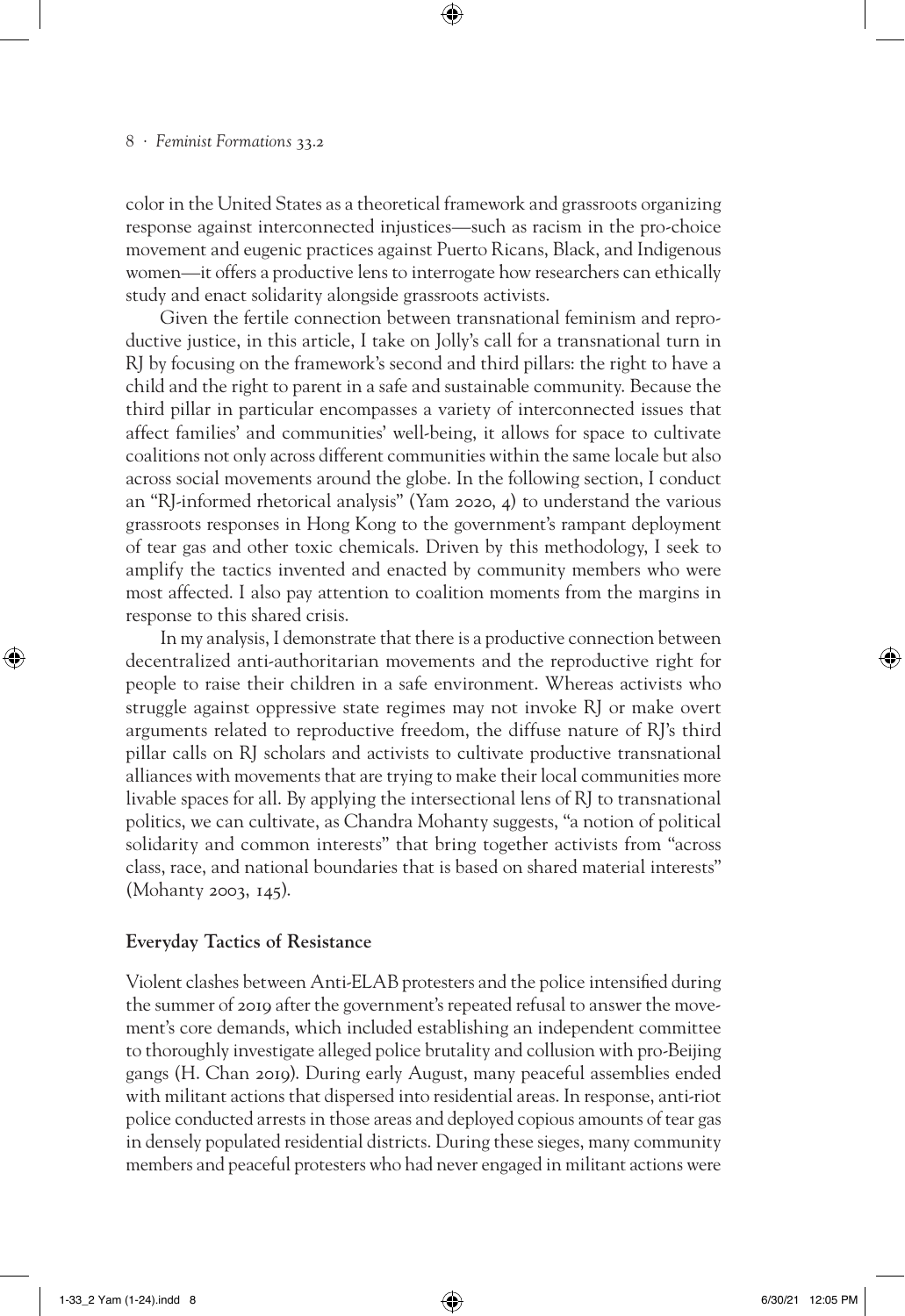color in the United States as a theoretical framework and grassroots organizing response against interconnected injustices—such as racism in the pro-choice movement and eugenic practices against Puerto Ricans, Black, and Indigenous women—it offers a productive lens to interrogate how researchers can ethically study and enact solidarity alongside grassroots activists.

⊕

Given the fertile connection between transnational feminism and reproductive justice, in this article, I take on Jolly's call for a transnational turn in RJ by focusing on the framework's second and third pillars: the right to have a child and the right to parent in a safe and sustainable community. Because the third pillar in particular encompasses a variety of interconnected issues that affect families' and communities' well-being, it allows for space to cultivate coalitions not only across different communities within the same locale but also across social movements around the globe. In the following section, I conduct an "RJ-informed rhetorical analysis" (Yam 2020, 4) to understand the various grassroots responses in Hong Kong to the government's rampant deployment of tear gas and other toxic chemicals. Driven by this methodology, I seek to amplify the tactics invented and enacted by community members who were most affected. I also pay attention to coalition moments from the margins in response to this shared crisis.

In my analysis, I demonstrate that there is a productive connection between decentralized anti-authoritarian movements and the reproductive right for people to raise their children in a safe environment. Whereas activists who struggle against oppressive state regimes may not invoke RJ or make overt arguments related to reproductive freedom, the diffuse nature of RJ's third pillar calls on RJ scholars and activists to cultivate productive transnational alliances with movements that are trying to make their local communities more livable spaces for all. By applying the intersectional lens of RJ to transnational politics, we can cultivate, as Chandra Mohanty suggests, "a notion of political solidarity and common interests" that bring together activists from "across class, race, and national boundaries that is based on shared material interests" (Mohanty 2003, 145).

# **Everyday Tactics of Resistance**

Violent clashes between Anti-ELAB protesters and the police intensified during the summer of 2019 after the government's repeated refusal to answer the movement's core demands, which included establishing an independent committee to thoroughly investigate alleged police brutality and collusion with pro-Beijing gangs (H. Chan 2019). During early August, many peaceful assemblies ended with militant actions that dispersed into residential areas. In response, anti-riot police conducted arrests in those areas and deployed copious amounts of tear gas in densely populated residential districts. During these sieges, many community members and peaceful protesters who had never engaged in militant actions were

⊕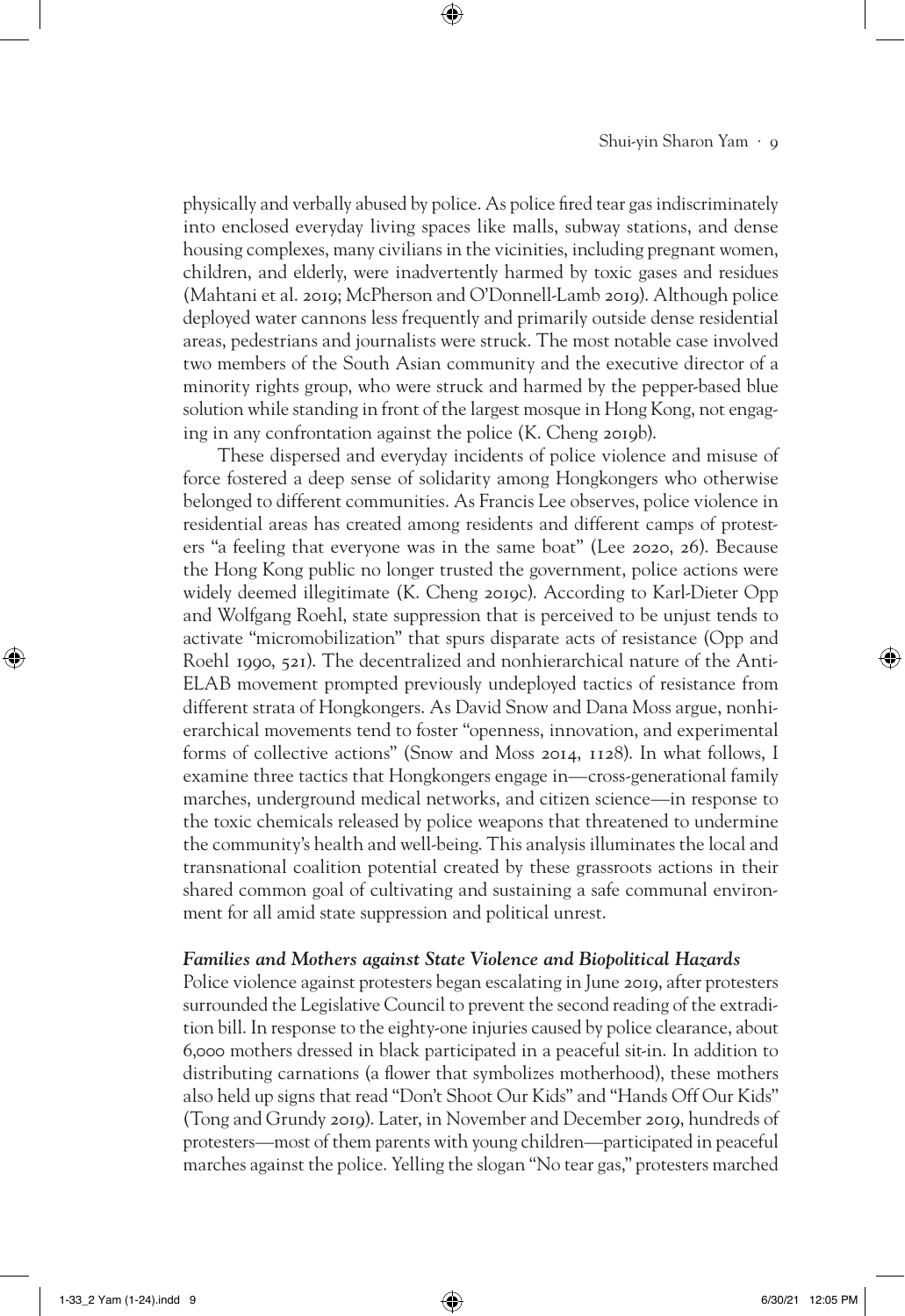# Shui-yin Sharon Yam · 9

physically and verbally abused by police. As police fired tear gas indiscriminately into enclosed everyday living spaces like malls, subway stations, and dense housing complexes, many civilians in the vicinities, including pregnant women, children, and elderly, were inadvertently harmed by toxic gases and residues (Mahtani et al. 2019; McPherson and O'Donnell-Lamb 2019). Although police deployed water cannons less frequently and primarily outside dense residential areas, pedestrians and journalists were struck. The most notable case involved two members of the South Asian community and the executive director of a minority rights group, who were struck and harmed by the pepper-based blue solution while standing in front of the largest mosque in Hong Kong, not engaging in any confrontation against the police (K. Cheng 2019b).

⊕

These dispersed and everyday incidents of police violence and misuse of force fostered a deep sense of solidarity among Hongkongers who otherwise belonged to different communities. As Francis Lee observes, police violence in residential areas has created among residents and different camps of protesters "a feeling that everyone was in the same boat" (Lee 2020, 26). Because the Hong Kong public no longer trusted the government, police actions were widely deemed illegitimate (K. Cheng 2019c). According to Karl-Dieter Opp and Wolfgang Roehl, state suppression that is perceived to be unjust tends to activate "micromobilization" that spurs disparate acts of resistance (Opp and Roehl 1990, 521). The decentralized and nonhierarchical nature of the Anti-ELAB movement prompted previously undeployed tactics of resistance from different strata of Hongkongers. As David Snow and Dana Moss argue, nonhierarchical movements tend to foster "openness, innovation, and experimental forms of collective actions" (Snow and Moss 2014, 1128). In what follows, I examine three tactics that Hongkongers engage in—cross-generational family marches, underground medical networks, and citizen science—in response to the toxic chemicals released by police weapons that threatened to undermine the community's health and well-being. This analysis illuminates the local and transnational coalition potential created by these grassroots actions in their shared common goal of cultivating and sustaining a safe communal environment for all amid state suppression and political unrest.

# *Families and Mothers against State Violence and Biopolitical Hazards*

Police violence against protesters began escalating in June 2019, after protesters surrounded the Legislative Council to prevent the second reading of the extradition bill. In response to the eighty-one injuries caused by police clearance, about 6,000 mothers dressed in black participated in a peaceful sit-in. In addition to distributing carnations (a flower that symbolizes motherhood), these mothers also held up signs that read "Don't Shoot Our Kids" and "Hands Off Our Kids" (Tong and Grundy 2019). Later, in November and December 2019, hundreds of protesters—most of them parents with young children—participated in peaceful marches against the police. Yelling the slogan "No tear gas," protesters marched

⊕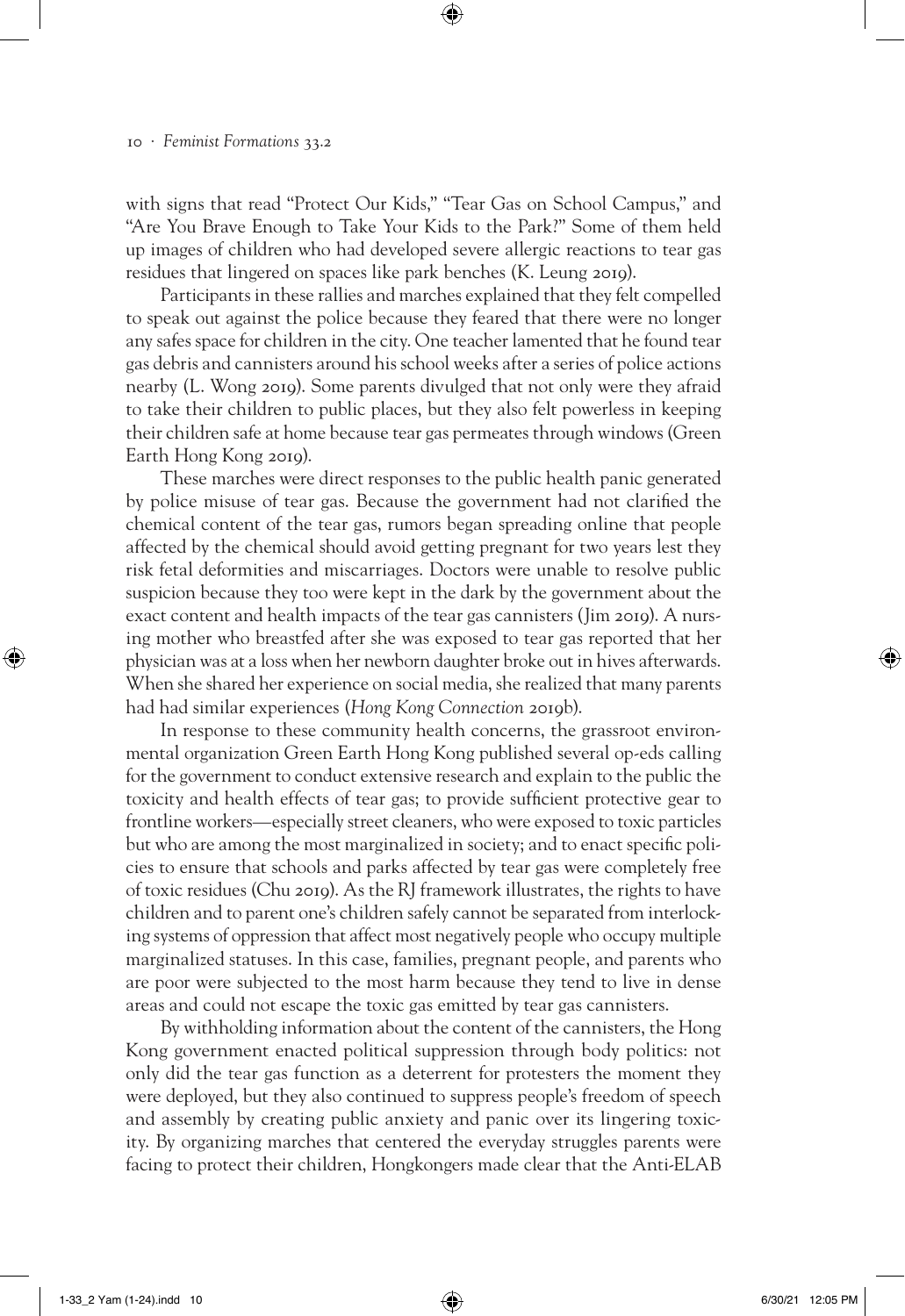with signs that read "Protect Our Kids," "Tear Gas on School Campus," and "Are You Brave Enough to Take Your Kids to the Park?" Some of them held up images of children who had developed severe allergic reactions to tear gas residues that lingered on spaces like park benches (K. Leung 2019).

⊕

Participants in these rallies and marches explained that they felt compelled to speak out against the police because they feared that there were no longer any safes space for children in the city. One teacher lamented that he found tear gas debris and cannisters around his school weeks after a series of police actions nearby (L. Wong 2019). Some parents divulged that not only were they afraid to take their children to public places, but they also felt powerless in keeping their children safe at home because tear gas permeates through windows (Green Earth Hong Kong 2019).

These marches were direct responses to the public health panic generated by police misuse of tear gas. Because the government had not clarified the chemical content of the tear gas, rumors began spreading online that people affected by the chemical should avoid getting pregnant for two years lest they risk fetal deformities and miscarriages. Doctors were unable to resolve public suspicion because they too were kept in the dark by the government about the exact content and health impacts of the tear gas cannisters (Jim 2019). A nursing mother who breastfed after she was exposed to tear gas reported that her physician was at a loss when her newborn daughter broke out in hives afterwards. When she shared her experience on social media, she realized that many parents had had similar experiences (*Hong Kong Connection* 2019b).

In response to these community health concerns, the grassroot environmental organization Green Earth Hong Kong published several op-eds calling for the government to conduct extensive research and explain to the public the toxicity and health effects of tear gas; to provide sufficient protective gear to frontline workers—especially street cleaners, who were exposed to toxic particles but who are among the most marginalized in society; and to enact specific policies to ensure that schools and parks affected by tear gas were completely free of toxic residues (Chu 2019). As the RJ framework illustrates, the rights to have children and to parent one's children safely cannot be separated from interlocking systems of oppression that affect most negatively people who occupy multiple marginalized statuses. In this case, families, pregnant people, and parents who are poor were subjected to the most harm because they tend to live in dense areas and could not escape the toxic gas emitted by tear gas cannisters.

By withholding information about the content of the cannisters, the Hong Kong government enacted political suppression through body politics: not only did the tear gas function as a deterrent for protesters the moment they were deployed, but they also continued to suppress people's freedom of speech and assembly by creating public anxiety and panic over its lingering toxicity. By organizing marches that centered the everyday struggles parents were facing to protect their children, Hongkongers made clear that the Anti-ELAB

⊕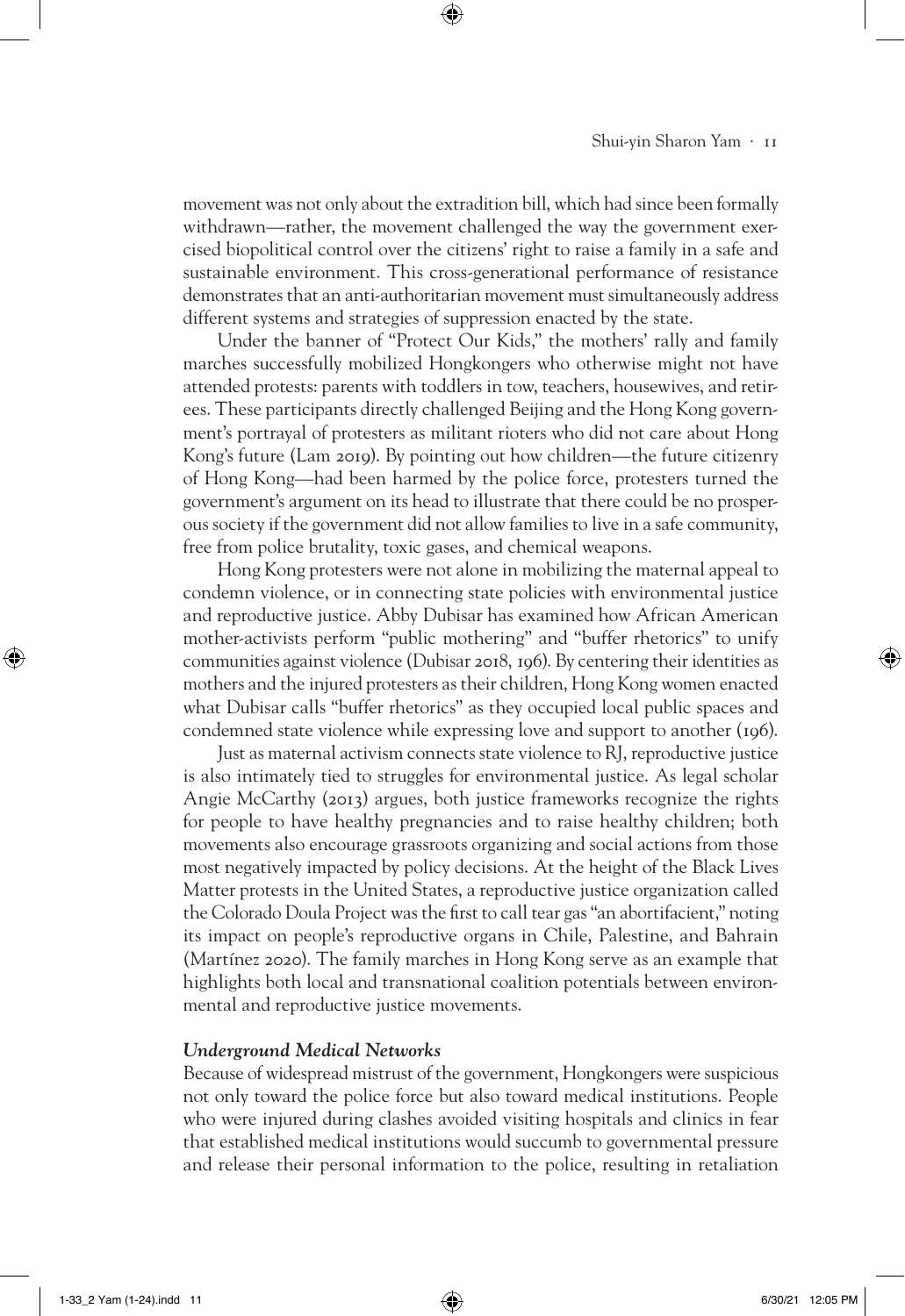movement was not only about the extradition bill, which had since been formally withdrawn—rather, the movement challenged the way the government exercised biopolitical control over the citizens' right to raise a family in a safe and sustainable environment. This cross-generational performance of resistance demonstrates that an anti-authoritarian movement must simultaneously address different systems and strategies of suppression enacted by the state.

⊕

Under the banner of "Protect Our Kids," the mothers' rally and family marches successfully mobilized Hongkongers who otherwise might not have attended protests: parents with toddlers in tow, teachers, housewives, and retirees. These participants directly challenged Beijing and the Hong Kong government's portrayal of protesters as militant rioters who did not care about Hong Kong's future (Lam 2019). By pointing out how children—the future citizenry of Hong Kong—had been harmed by the police force, protesters turned the government's argument on its head to illustrate that there could be no prosperous society if the government did not allow families to live in a safe community, free from police brutality, toxic gases, and chemical weapons.

Hong Kong protesters were not alone in mobilizing the maternal appeal to condemn violence, or in connecting state policies with environmental justice and reproductive justice. Abby Dubisar has examined how African American mother-activists perform "public mothering" and "buffer rhetorics" to unify communities against violence (Dubisar 2018, 196). By centering their identities as mothers and the injured protesters as their children, Hong Kong women enacted what Dubisar calls "buffer rhetorics" as they occupied local public spaces and condemned state violence while expressing love and support to another (196).

Just as maternal activism connects state violence to RJ, reproductive justice is also intimately tied to struggles for environmental justice. As legal scholar Angie McCarthy (2013) argues, both justice frameworks recognize the rights for people to have healthy pregnancies and to raise healthy children; both movements also encourage grassroots organizing and social actions from those most negatively impacted by policy decisions. At the height of the Black Lives Matter protests in the United States, a reproductive justice organization called the Colorado Doula Project was the first to call tear gas "an abortifacient," noting its impact on people's reproductive organs in Chile, Palestine, and Bahrain (Martínez 2020). The family marches in Hong Kong serve as an example that highlights both local and transnational coalition potentials between environmental and reproductive justice movements.

# *Underground Medical Networks*

Because of widespread mistrust of the government, Hongkongers were suspicious not only toward the police force but also toward medical institutions. People who were injured during clashes avoided visiting hospitals and clinics in fear that established medical institutions would succumb to governmental pressure and release their personal information to the police, resulting in retaliation

⊕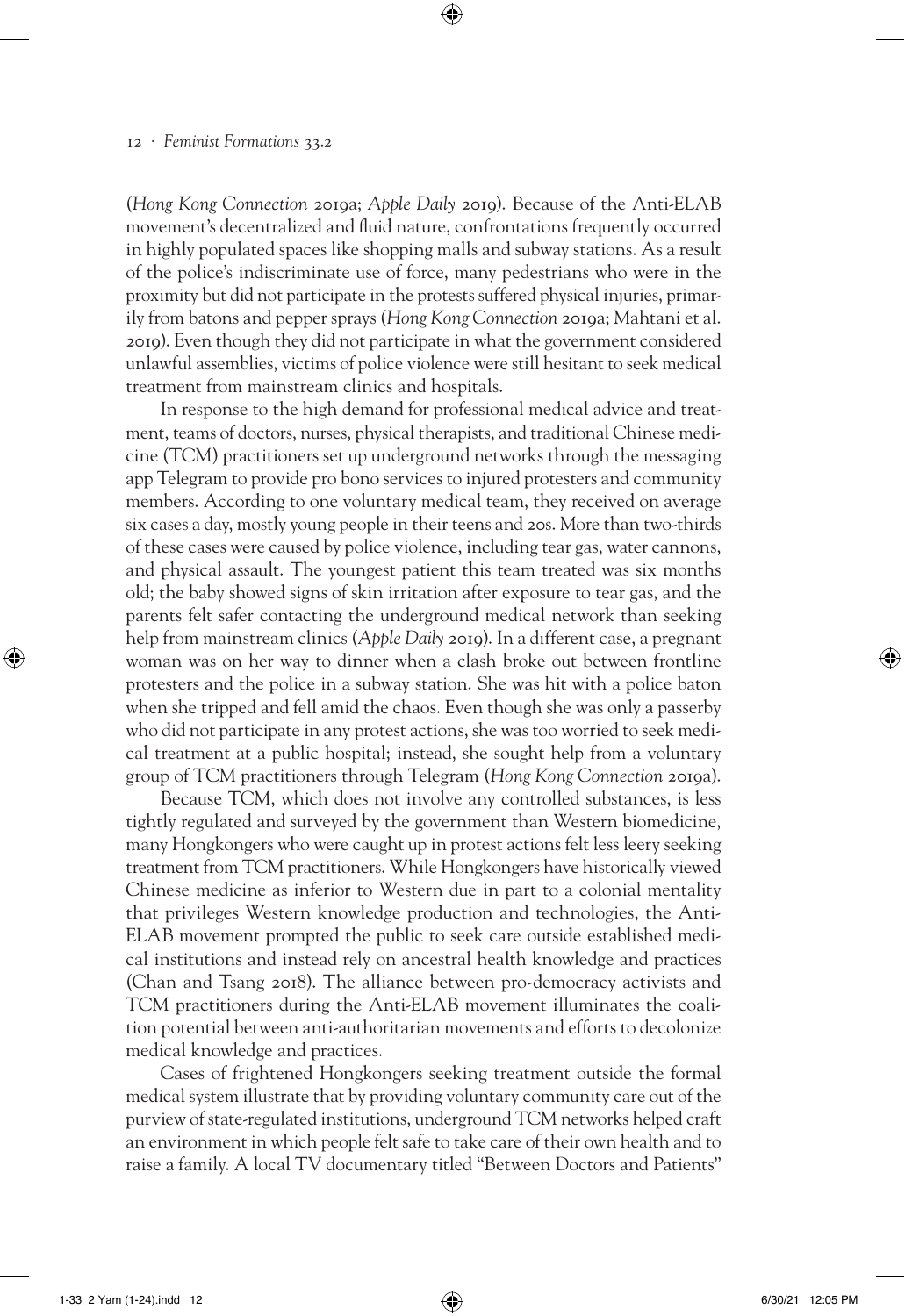(*Hong Kong Connection* 2019a; *Apple Daily* 2019). Because of the Anti-ELAB movement's decentralized and fluid nature, confrontations frequently occurred in highly populated spaces like shopping malls and subway stations. As a result of the police's indiscriminate use of force, many pedestrians who were in the proximity but did not participate in the protests suffered physical injuries, primarily from batons and pepper sprays (*Hong Kong Connection* 2019a; Mahtani et al. 2019). Even though they did not participate in what the government considered unlawful assemblies, victims of police violence were still hesitant to seek medical treatment from mainstream clinics and hospitals.

⊕

In response to the high demand for professional medical advice and treatment, teams of doctors, nurses, physical therapists, and traditional Chinese medicine (TCM) practitioners set up underground networks through the messaging app Telegram to provide pro bono services to injured protesters and community members. According to one voluntary medical team, they received on average six cases a day, mostly young people in their teens and 20s. More than two-thirds of these cases were caused by police violence, including tear gas, water cannons, and physical assault. The youngest patient this team treated was six months old; the baby showed signs of skin irritation after exposure to tear gas, and the parents felt safer contacting the underground medical network than seeking help from mainstream clinics (*Apple Daily* 2019). In a different case, a pregnant woman was on her way to dinner when a clash broke out between frontline protesters and the police in a subway station. She was hit with a police baton when she tripped and fell amid the chaos. Even though she was only a passerby who did not participate in any protest actions, she was too worried to seek medical treatment at a public hospital; instead, she sought help from a voluntary group of TCM practitioners through Telegram (*Hong Kong Connection* 2019a).

Because TCM, which does not involve any controlled substances, is less tightly regulated and surveyed by the government than Western biomedicine, many Hongkongers who were caught up in protest actions felt less leery seeking treatment from TCM practitioners. While Hongkongers have historically viewed Chinese medicine as inferior to Western due in part to a colonial mentality that privileges Western knowledge production and technologies, the Anti-ELAB movement prompted the public to seek care outside established medical institutions and instead rely on ancestral health knowledge and practices (Chan and Tsang 2018). The alliance between pro-democracy activists and TCM practitioners during the Anti-ELAB movement illuminates the coalition potential between anti-authoritarian movements and efforts to decolonize medical knowledge and practices.

Cases of frightened Hongkongers seeking treatment outside the formal medical system illustrate that by providing voluntary community care out of the purview of state-regulated institutions, underground TCM networks helped craft an environment in which people felt safe to take care of their own health and to raise a family. A local TV documentary titled "Between Doctors and Patients"

⊕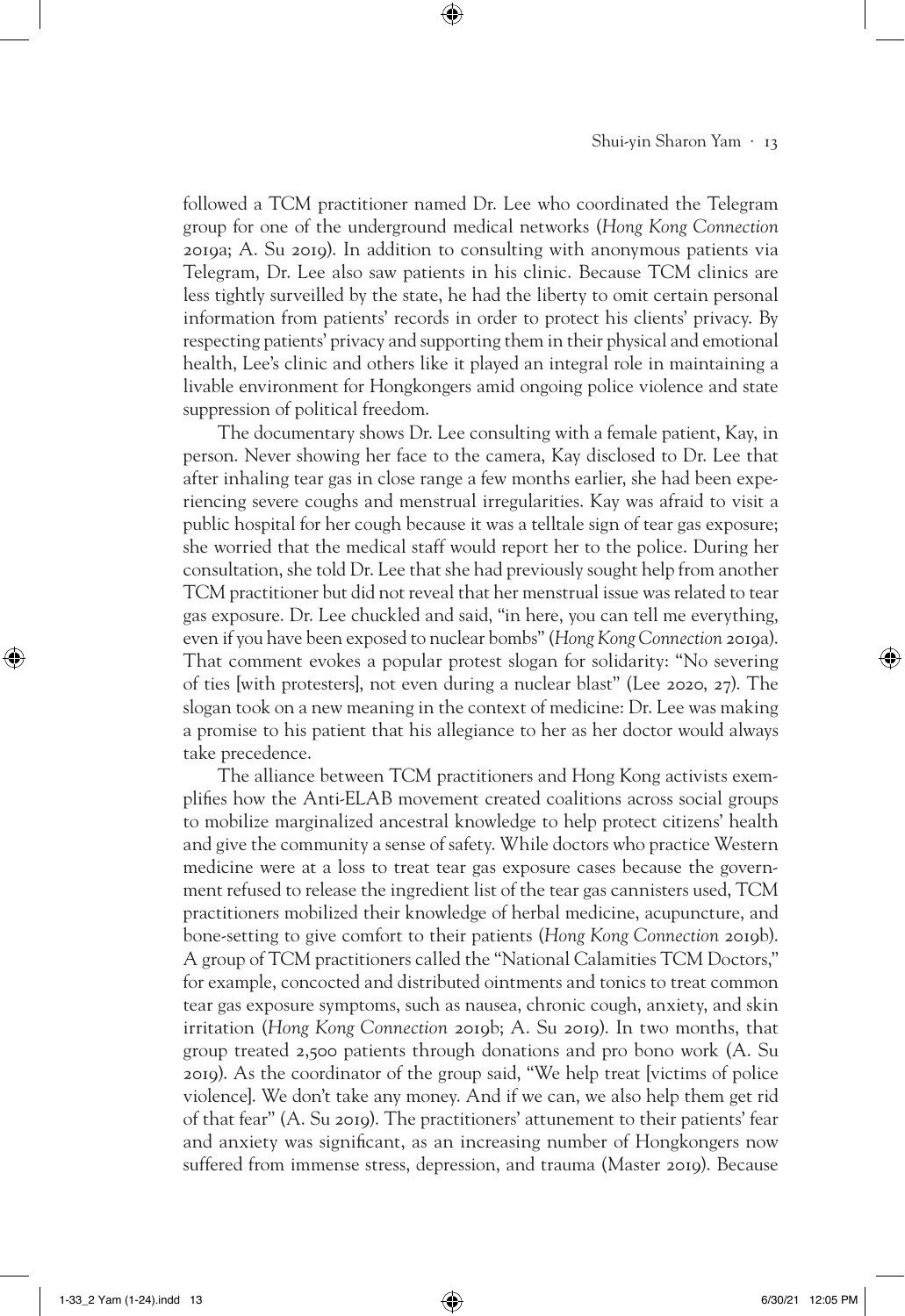followed a TCM practitioner named Dr. Lee who coordinated the Telegram group for one of the underground medical networks (*Hong Kong Connection*  2019a; A. Su 2019). In addition to consulting with anonymous patients via Telegram, Dr. Lee also saw patients in his clinic. Because TCM clinics are less tightly surveilled by the state, he had the liberty to omit certain personal information from patients' records in order to protect his clients' privacy. By respecting patients' privacy and supporting them in their physical and emotional health, Lee's clinic and others like it played an integral role in maintaining a livable environment for Hongkongers amid ongoing police violence and state suppression of political freedom.

⊕

The documentary shows Dr. Lee consulting with a female patient, Kay, in person. Never showing her face to the camera, Kay disclosed to Dr. Lee that after inhaling tear gas in close range a few months earlier, she had been experiencing severe coughs and menstrual irregularities. Kay was afraid to visit a public hospital for her cough because it was a telltale sign of tear gas exposure; she worried that the medical staff would report her to the police. During her consultation, she told Dr. Lee that she had previously sought help from another TCM practitioner but did not reveal that her menstrual issue was related to tear gas exposure. Dr. Lee chuckled and said, "in here, you can tell me everything, even if you have been exposed to nuclear bombs" (*Hong Kong Connection* 2019a). That comment evokes a popular protest slogan for solidarity: "No severing of ties [with protesters], not even during a nuclear blast" (Lee 2020, 27). The slogan took on a new meaning in the context of medicine: Dr. Lee was making a promise to his patient that his allegiance to her as her doctor would always take precedence.

The alliance between TCM practitioners and Hong Kong activists exemplifies how the Anti-ELAB movement created coalitions across social groups to mobilize marginalized ancestral knowledge to help protect citizens' health and give the community a sense of safety. While doctors who practice Western medicine were at a loss to treat tear gas exposure cases because the government refused to release the ingredient list of the tear gas cannisters used, TCM practitioners mobilized their knowledge of herbal medicine, acupuncture, and bone-setting to give comfort to their patients (*Hong Kong Connection* 2019b). A group of TCM practitioners called the "National Calamities TCM Doctors," for example, concocted and distributed ointments and tonics to treat common tear gas exposure symptoms, such as nausea, chronic cough, anxiety, and skin irritation (*Hong Kong Connection* 2019b; A. Su 2019). In two months, that group treated 2,500 patients through donations and pro bono work (A. Su 2019). As the coordinator of the group said, "We help treat [victims of police violence]. We don't take any money. And if we can, we also help them get rid of that fear" (A. Su 2019). The practitioners' attunement to their patients' fear and anxiety was significant, as an increasing number of Hongkongers now suffered from immense stress, depression, and trauma (Master 2019). Because

⊕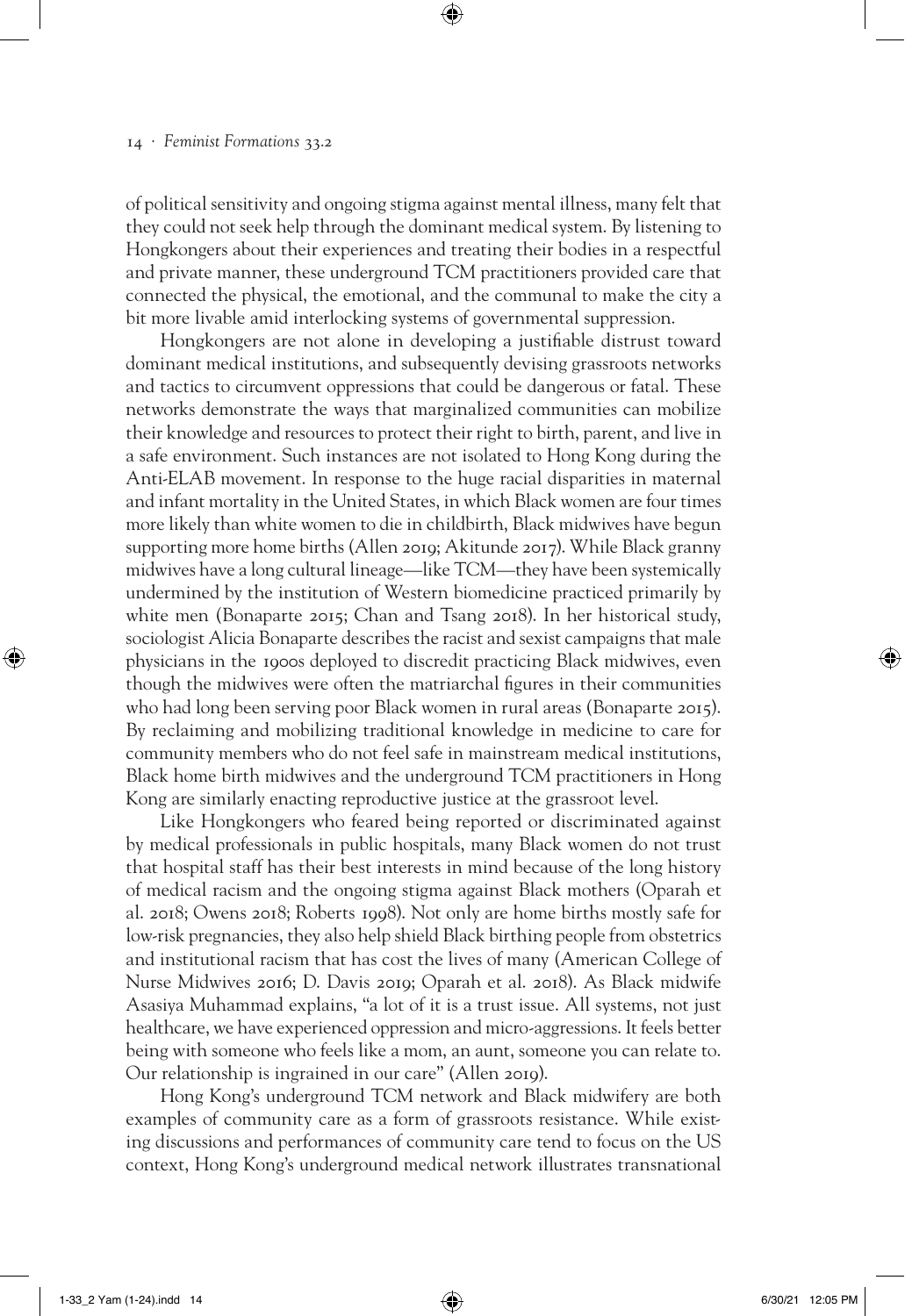of political sensitivity and ongoing stigma against mental illness, many felt that they could not seek help through the dominant medical system. By listening to Hongkongers about their experiences and treating their bodies in a respectful and private manner, these underground TCM practitioners provided care that connected the physical, the emotional, and the communal to make the city a bit more livable amid interlocking systems of governmental suppression.

⊕

Hongkongers are not alone in developing a justifiable distrust toward dominant medical institutions, and subsequently devising grassroots networks and tactics to circumvent oppressions that could be dangerous or fatal. These networks demonstrate the ways that marginalized communities can mobilize their knowledge and resources to protect their right to birth, parent, and live in a safe environment. Such instances are not isolated to Hong Kong during the Anti-ELAB movement. In response to the huge racial disparities in maternal and infant mortality in the United States, in which Black women are four times more likely than white women to die in childbirth, Black midwives have begun supporting more home births (Allen 2019; Akitunde 2017). While Black granny midwives have a long cultural lineage—like TCM—they have been systemically undermined by the institution of Western biomedicine practiced primarily by white men (Bonaparte 2015; Chan and Tsang 2018). In her historical study, sociologist Alicia Bonaparte describes the racist and sexist campaigns that male physicians in the 1900s deployed to discredit practicing Black midwives, even though the midwives were often the matriarchal figures in their communities who had long been serving poor Black women in rural areas (Bonaparte 2015). By reclaiming and mobilizing traditional knowledge in medicine to care for community members who do not feel safe in mainstream medical institutions, Black home birth midwives and the underground TCM practitioners in Hong Kong are similarly enacting reproductive justice at the grassroot level.

Like Hongkongers who feared being reported or discriminated against by medical professionals in public hospitals, many Black women do not trust that hospital staff has their best interests in mind because of the long history of medical racism and the ongoing stigma against Black mothers (Oparah et al. 2018; Owens 2018; Roberts 1998). Not only are home births mostly safe for low-risk pregnancies, they also help shield Black birthing people from obstetrics and institutional racism that has cost the lives of many (American College of Nurse Midwives 2016; D. Davis 2019; Oparah et al. 2018). As Black midwife Asasiya Muhammad explains, "a lot of it is a trust issue. All systems, not just healthcare, we have experienced oppression and micro-aggressions. It feels better being with someone who feels like a mom, an aunt, someone you can relate to. Our relationship is ingrained in our care" (Allen 2019).

Hong Kong's underground TCM network and Black midwifery are both examples of community care as a form of grassroots resistance. While existing discussions and performances of community care tend to focus on the US context, Hong Kong's underground medical network illustrates transnational

⊕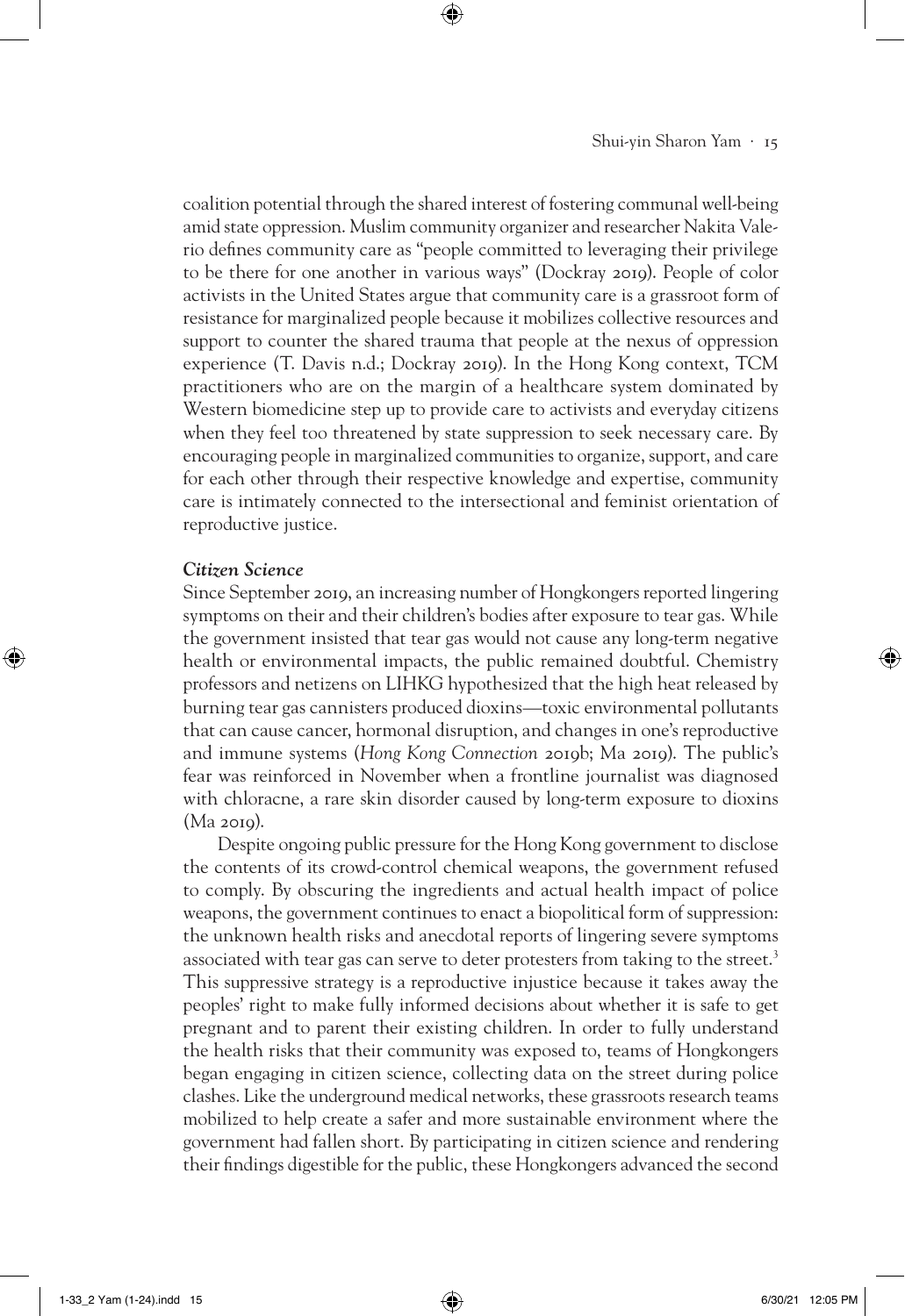coalition potential through the shared interest of fostering communal well-being amid state oppression. Muslim community organizer and researcher Nakita Valerio defines community care as "people committed to leveraging their privilege to be there for one another in various ways" (Dockray 2019). People of color activists in the United States argue that community care is a grassroot form of resistance for marginalized people because it mobilizes collective resources and support to counter the shared trauma that people at the nexus of oppression experience (T. Davis n.d.; Dockray 2019). In the Hong Kong context, TCM practitioners who are on the margin of a healthcare system dominated by Western biomedicine step up to provide care to activists and everyday citizens when they feel too threatened by state suppression to seek necessary care. By encouraging people in marginalized communities to organize, support, and care for each other through their respective knowledge and expertise, community care is intimately connected to the intersectional and feminist orientation of reproductive justice.

⊕

#### *Citizen Science*

⊕

Since September 2019, an increasing number of Hongkongers reported lingering symptoms on their and their children's bodies after exposure to tear gas. While the government insisted that tear gas would not cause any long-term negative health or environmental impacts, the public remained doubtful. Chemistry professors and netizens on LIHKG hypothesized that the high heat released by burning tear gas cannisters produced dioxins—toxic environmental pollutants that can cause cancer, hormonal disruption, and changes in one's reproductive and immune systems (*Hong Kong Connection* 2019b; Ma 2019). The public's fear was reinforced in November when a frontline journalist was diagnosed with chloracne, a rare skin disorder caused by long-term exposure to dioxins (Ma 2019).

Despite ongoing public pressure for the Hong Kong government to disclose the contents of its crowd-control chemical weapons, the government refused to comply. By obscuring the ingredients and actual health impact of police weapons, the government continues to enact a biopolitical form of suppression: the unknown health risks and anecdotal reports of lingering severe symptoms associated with tear gas can serve to deter protesters from taking to the street.<sup>3</sup> This suppressive strategy is a reproductive injustice because it takes away the peoples' right to make fully informed decisions about whether it is safe to get pregnant and to parent their existing children. In order to fully understand the health risks that their community was exposed to, teams of Hongkongers began engaging in citizen science, collecting data on the street during police clashes. Like the underground medical networks, these grassroots research teams mobilized to help create a safer and more sustainable environment where the government had fallen short. By participating in citizen science and rendering their findings digestible for the public, these Hongkongers advanced the second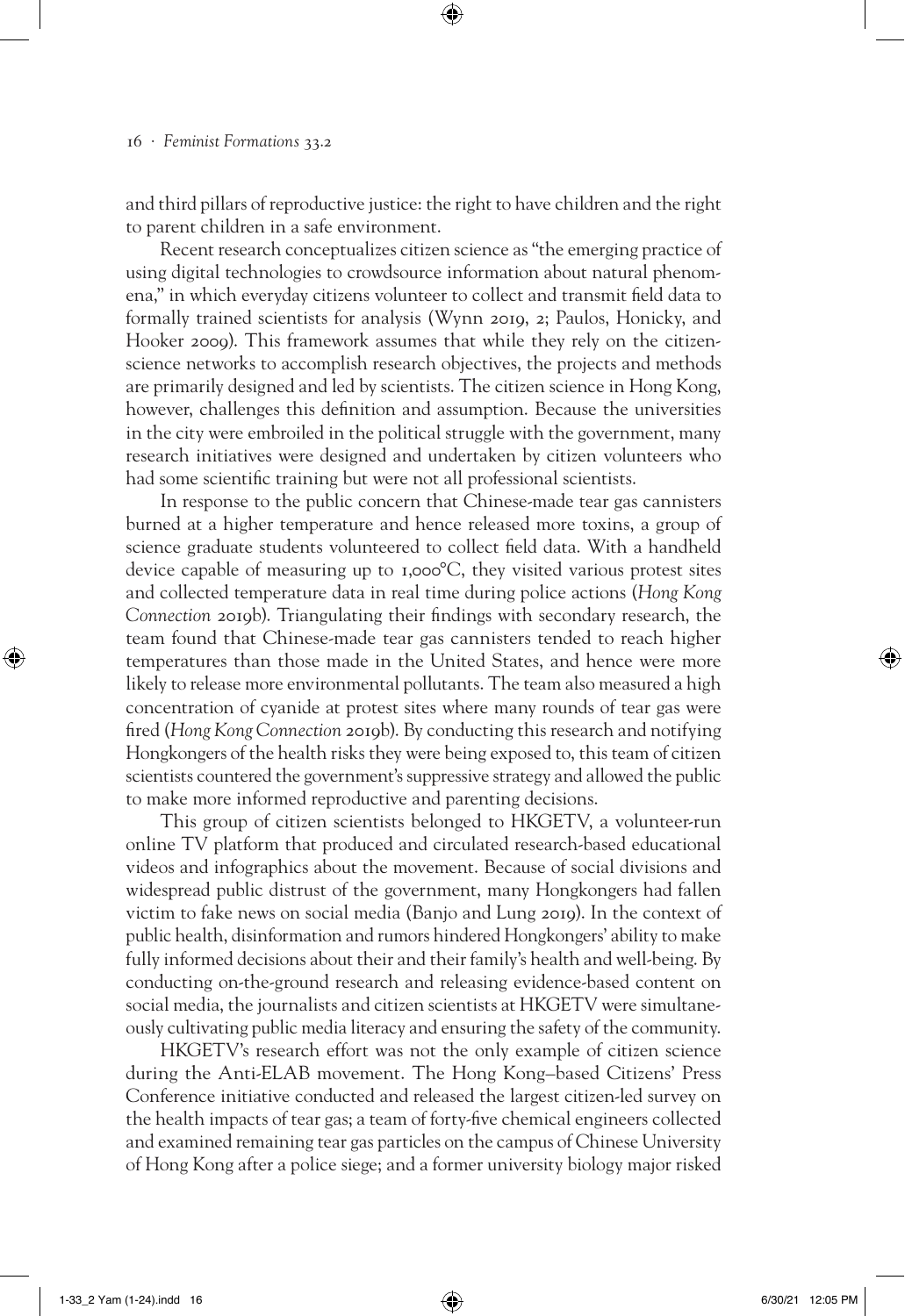and third pillars of reproductive justice: the right to have children and the right to parent children in a safe environment.

⊕

Recent research conceptualizes citizen science as "the emerging practice of using digital technologies to crowdsource information about natural phenomena," in which everyday citizens volunteer to collect and transmit field data to formally trained scientists for analysis (Wynn 2019, 2; Paulos, Honicky, and Hooker 2009). This framework assumes that while they rely on the citizenscience networks to accomplish research objectives, the projects and methods are primarily designed and led by scientists. The citizen science in Hong Kong, however, challenges this definition and assumption. Because the universities in the city were embroiled in the political struggle with the government, many research initiatives were designed and undertaken by citizen volunteers who had some scientific training but were not all professional scientists.

In response to the public concern that Chinese-made tear gas cannisters burned at a higher temperature and hence released more toxins, a group of science graduate students volunteered to collect field data. With a handheld device capable of measuring up to 1,000°C, they visited various protest sites and collected temperature data in real time during police actions (*Hong Kong Connection* 2019b). Triangulating their findings with secondary research, the team found that Chinese-made tear gas cannisters tended to reach higher temperatures than those made in the United States, and hence were more likely to release more environmental pollutants. The team also measured a high concentration of cyanide at protest sites where many rounds of tear gas were fired (*Hong Kong Connection* 2019b). By conducting this research and notifying Hongkongers of the health risks they were being exposed to, this team of citizen scientists countered the government's suppressive strategy and allowed the public to make more informed reproductive and parenting decisions.

This group of citizen scientists belonged to HKGETV, a volunteer-run online TV platform that produced and circulated research-based educational videos and infographics about the movement. Because of social divisions and widespread public distrust of the government, many Hongkongers had fallen victim to fake news on social media (Banjo and Lung 2019). In the context of public health, disinformation and rumors hindered Hongkongers' ability to make fully informed decisions about their and their family's health and well-being. By conducting on-the-ground research and releasing evidence-based content on social media, the journalists and citizen scientists at HKGETV were simultaneously cultivating public media literacy and ensuring the safety of the community.

HKGETV's research effort was not the only example of citizen science during the Anti-ELAB movement. The Hong Kong–based Citizens' Press Conference initiative conducted and released the largest citizen-led survey on the health impacts of tear gas; a team of forty-five chemical engineers collected and examined remaining tear gas particles on the campus of Chinese University of Hong Kong after a police siege; and a former university biology major risked

⊕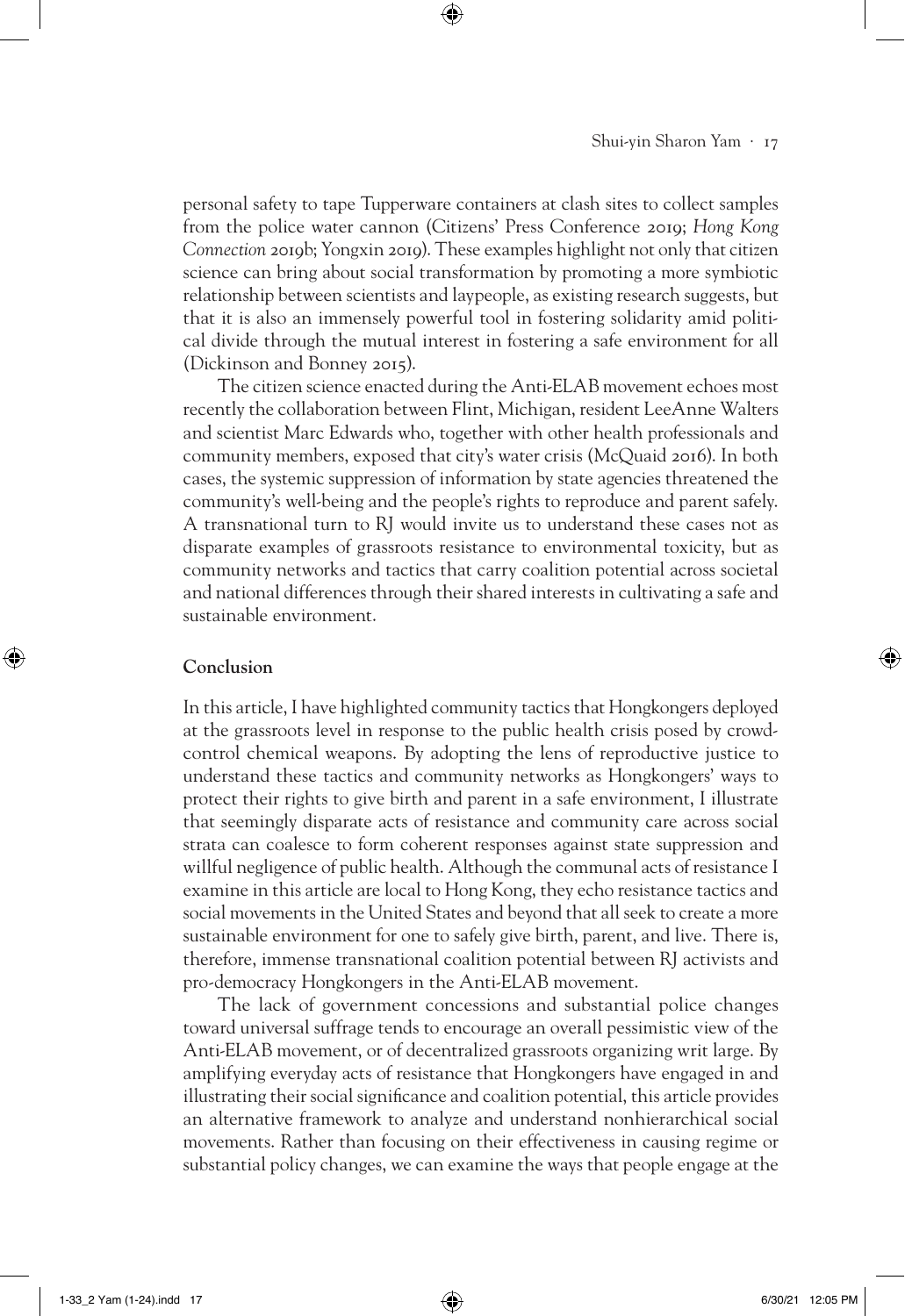personal safety to tape Tupperware containers at clash sites to collect samples from the police water cannon (Citizens' Press Conference 2019; *Hong Kong Connection* 2019b; Yongxin 2019). These examples highlight not only that citizen science can bring about social transformation by promoting a more symbiotic relationship between scientists and laypeople, as existing research suggests, but that it is also an immensely powerful tool in fostering solidarity amid political divide through the mutual interest in fostering a safe environment for all (Dickinson and Bonney 2015).

⊕

The citizen science enacted during the Anti-ELAB movement echoes most recently the collaboration between Flint, Michigan, resident LeeAnne Walters and scientist Marc Edwards who, together with other health professionals and community members, exposed that city's water crisis (McQuaid 2016). In both cases, the systemic suppression of information by state agencies threatened the community's well-being and the people's rights to reproduce and parent safely. A transnational turn to RJ would invite us to understand these cases not as disparate examples of grassroots resistance to environmental toxicity, but as community networks and tactics that carry coalition potential across societal and national differences through their shared interests in cultivating a safe and sustainable environment.

# **Conclusion**

⊕

In this article, I have highlighted community tactics that Hongkongers deployed at the grassroots level in response to the public health crisis posed by crowdcontrol chemical weapons. By adopting the lens of reproductive justice to understand these tactics and community networks as Hongkongers' ways to protect their rights to give birth and parent in a safe environment, I illustrate that seemingly disparate acts of resistance and community care across social strata can coalesce to form coherent responses against state suppression and willful negligence of public health. Although the communal acts of resistance I examine in this article are local to Hong Kong, they echo resistance tactics and social movements in the United States and beyond that all seek to create a more sustainable environment for one to safely give birth, parent, and live. There is, therefore, immense transnational coalition potential between RJ activists and pro-democracy Hongkongers in the Anti-ELAB movement.

The lack of government concessions and substantial police changes toward universal suffrage tends to encourage an overall pessimistic view of the Anti-ELAB movement, or of decentralized grassroots organizing writ large. By amplifying everyday acts of resistance that Hongkongers have engaged in and illustrating their social significance and coalition potential, this article provides an alternative framework to analyze and understand nonhierarchical social movements. Rather than focusing on their effectiveness in causing regime or substantial policy changes, we can examine the ways that people engage at the

1-33\_2 Yam (1-24).indd 17 6/30/21 12:05 PM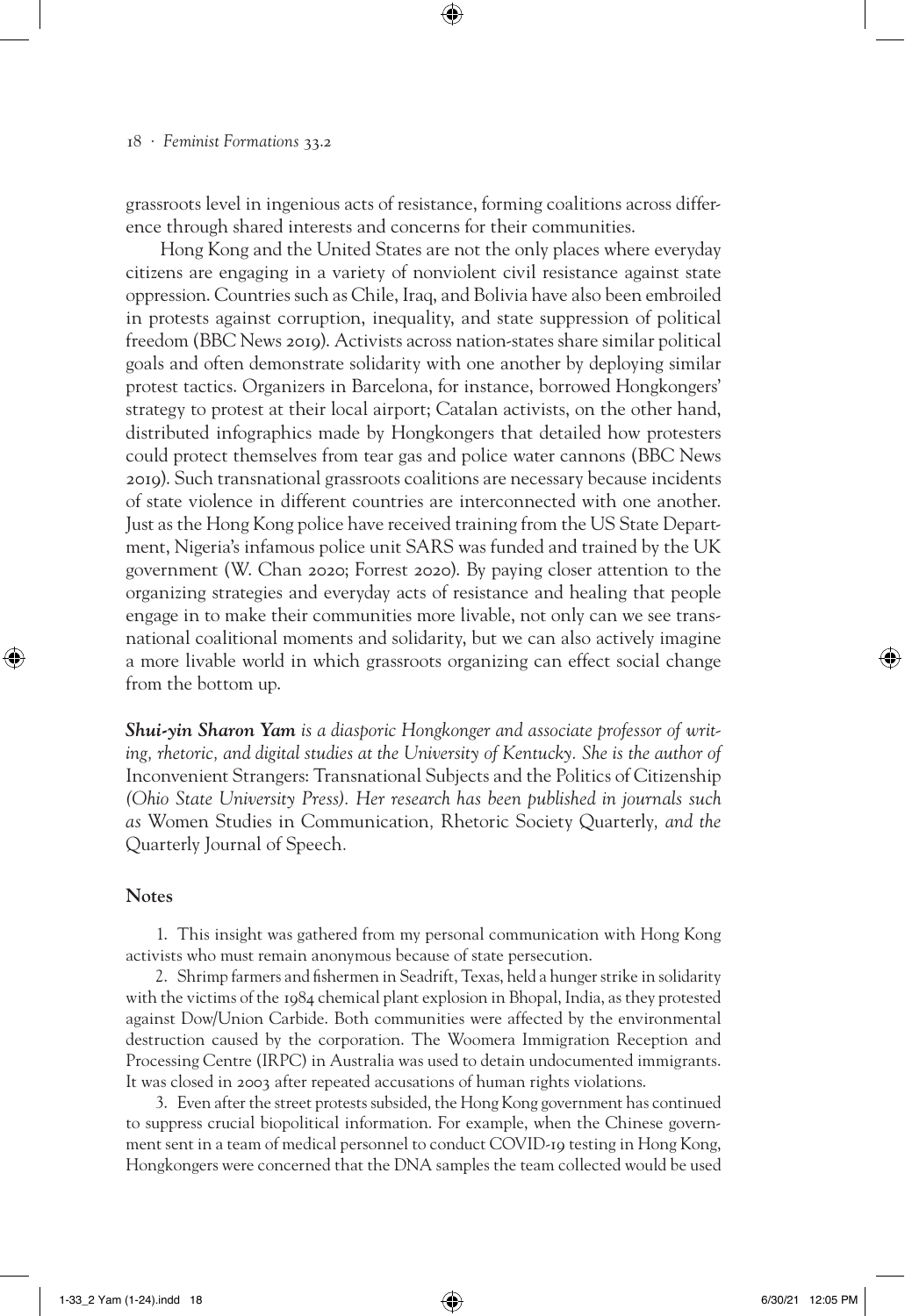grassroots level in ingenious acts of resistance, forming coalitions across difference through shared interests and concerns for their communities.

⊕

Hong Kong and the United States are not the only places where everyday citizens are engaging in a variety of nonviolent civil resistance against state oppression. Countries such as Chile, Iraq, and Bolivia have also been embroiled in protests against corruption, inequality, and state suppression of political freedom (BBC News 2019). Activists across nation-states share similar political goals and often demonstrate solidarity with one another by deploying similar protest tactics. Organizers in Barcelona, for instance, borrowed Hongkongers' strategy to protest at their local airport; Catalan activists, on the other hand, distributed infographics made by Hongkongers that detailed how protesters could protect themselves from tear gas and police water cannons (BBC News 2019). Such transnational grassroots coalitions are necessary because incidents of state violence in different countries are interconnected with one another. Just as the Hong Kong police have received training from the US State Department, Nigeria's infamous police unit SARS was funded and trained by the UK government (W. Chan 2020; Forrest 2020). By paying closer attention to the organizing strategies and everyday acts of resistance and healing that people engage in to make their communities more livable, not only can we see transnational coalitional moments and solidarity, but we can also actively imagine a more livable world in which grassroots organizing can effect social change from the bottom up.

*Shui-yin Sharon Yam is a diasporic Hongkonger and associate professor of writing, rhetoric, and digital studies at the University of Kentucky. She is the author of*  Inconvenient Strangers: Transnational Subjects and the Politics of Citizenship *(Ohio State University Press). Her research has been published in journals such as* Women Studies in Communication*,* Rhetoric Society Quarterly*, and the*  Quarterly Journal of Speech*.*

## **Notes**

⊕

1. This insight was gathered from my personal communication with Hong Kong activists who must remain anonymous because of state persecution.

2. Shrimp farmers and fishermen in Seadrift, Texas, held a hunger strike in solidarity with the victims of the 1984 chemical plant explosion in Bhopal, India, as they protested against Dow/Union Carbide. Both communities were affected by the environmental destruction caused by the corporation. The Woomera Immigration Reception and Processing Centre (IRPC) in Australia was used to detain undocumented immigrants. It was closed in 2003 after repeated accusations of human rights violations.

3. Even after the street protests subsided, the Hong Kong government has continued to suppress crucial biopolitical information. For example, when the Chinese government sent in a team of medical personnel to conduct COVID-19 testing in Hong Kong, Hongkongers were concerned that the DNA samples the team collected would be used

1-33\_2 Yam (1-24).indd 18 6/30/21 12:05 PM (1-24).indd 18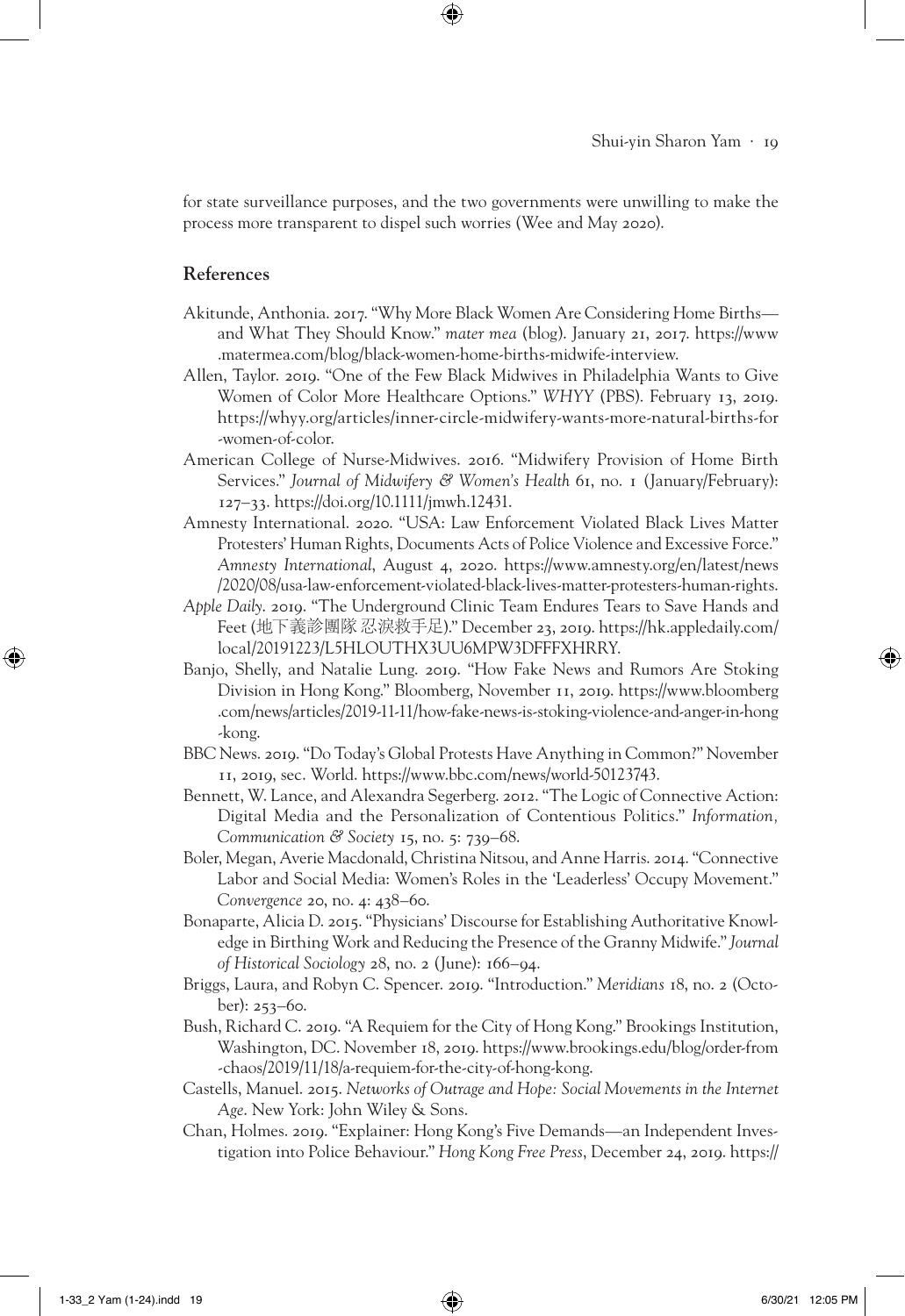for state surveillance purposes, and the two governments were unwilling to make the process more transparent to dispel such worries (Wee and May 2020).

⊕

## **References**

- Akitunde, Anthonia. 2017. "Why More Black Women Are Considering Home Births and What They Should Know." *mater mea* (blog). January 21, 2017. https://www .matermea.com/blog/black-women-home-births-midwife-interview.
- Allen, Taylor. 2019. "One of the Few Black Midwives in Philadelphia Wants to Give Women of Color More Healthcare Options." *WHYY* (PBS). February 13, 2019. https://whyy.org/articles/inner-circle-midwifery-wants-more-natural-births-for -women-of-color.
- American College of Nurse-Midwives. 2016. "Midwifery Provision of Home Birth Services." *Journal of Midwifery & Women's Health* 61, no. 1 (January/February): 127–33. https://doi.org/10.1111/jmwh.12431.
- Amnesty International. 2020. "USA: Law Enforcement Violated Black Lives Matter Protesters' Human Rights, Documents Acts of Police Violence and Excessive Force." *Amnesty International*, August 4, 2020. https://www.amnesty.org/en/latest/news /2020/08/usa-law-enforcement-violated-black-lives-matter-protesters-human-rights.
- *Apple Daily*. 2019. "The Underground Clinic Team Endures Tears to Save Hands and Feet (地下義診團隊 忍淚救手足)." December 23, 2019. https://hk.appledaily.com/ local/20191223/L5HLOUTHX3UU6MPW3DFFFXHRRY.
- Banjo, Shelly, and Natalie Lung. 2019. "How Fake News and Rumors Are Stoking Division in Hong Kong." Bloomberg, November 11, 2019. https://www.bloomberg .com/news/articles/2019-11-11/how-fake-news-is-stoking-violence-and-anger-in-hong -kong.
- BBC News. 2019. "Do Today's Global Protests Have Anything in Common?" November 11, 2019, sec. World. https://www.bbc.com/news/world-50123743.
- Bennett, W. Lance, and Alexandra Segerberg. 2012. "The Logic of Connective Action: Digital Media and the Personalization of Contentious Politics." *Information, Communication & Society* 15, no. 5: 739–68.
- Boler, Megan, Averie Macdonald, Christina Nitsou, and Anne Harris. 2014. "Connective Labor and Social Media: Women's Roles in the 'Leaderless' Occupy Movement." *Convergence* 20, no. 4: 438–60.
- Bonaparte, Alicia D. 2015. "Physicians' Discourse for Establishing Authoritative Knowledge in Birthing Work and Reducing the Presence of the Granny Midwife." *Journal of Historical Sociology* 28, no. 2 (June): 166–94.
- Briggs, Laura, and Robyn C. Spencer. 2019. "Introduction." *Meridians* 18, no. 2 (October): 253–60.
- Bush, Richard C. 2019. "A Requiem for the City of Hong Kong." Brookings Institution, Washington, DC. November 18, 2019. https://www.brookings.edu/blog/order-from -chaos/2019/11/18/a-requiem-for-the-city-of-hong-kong.
- Castells, Manuel. 2015. *Networks of Outrage and Hope: Social Movements in the Internet Age*. New York: John Wiley & Sons.
- Chan, Holmes. 2019. "Explainer: Hong Kong's Five Demands—an Independent Investigation into Police Behaviour." *Hong Kong Free Press*, December 24, 2019. https://

↔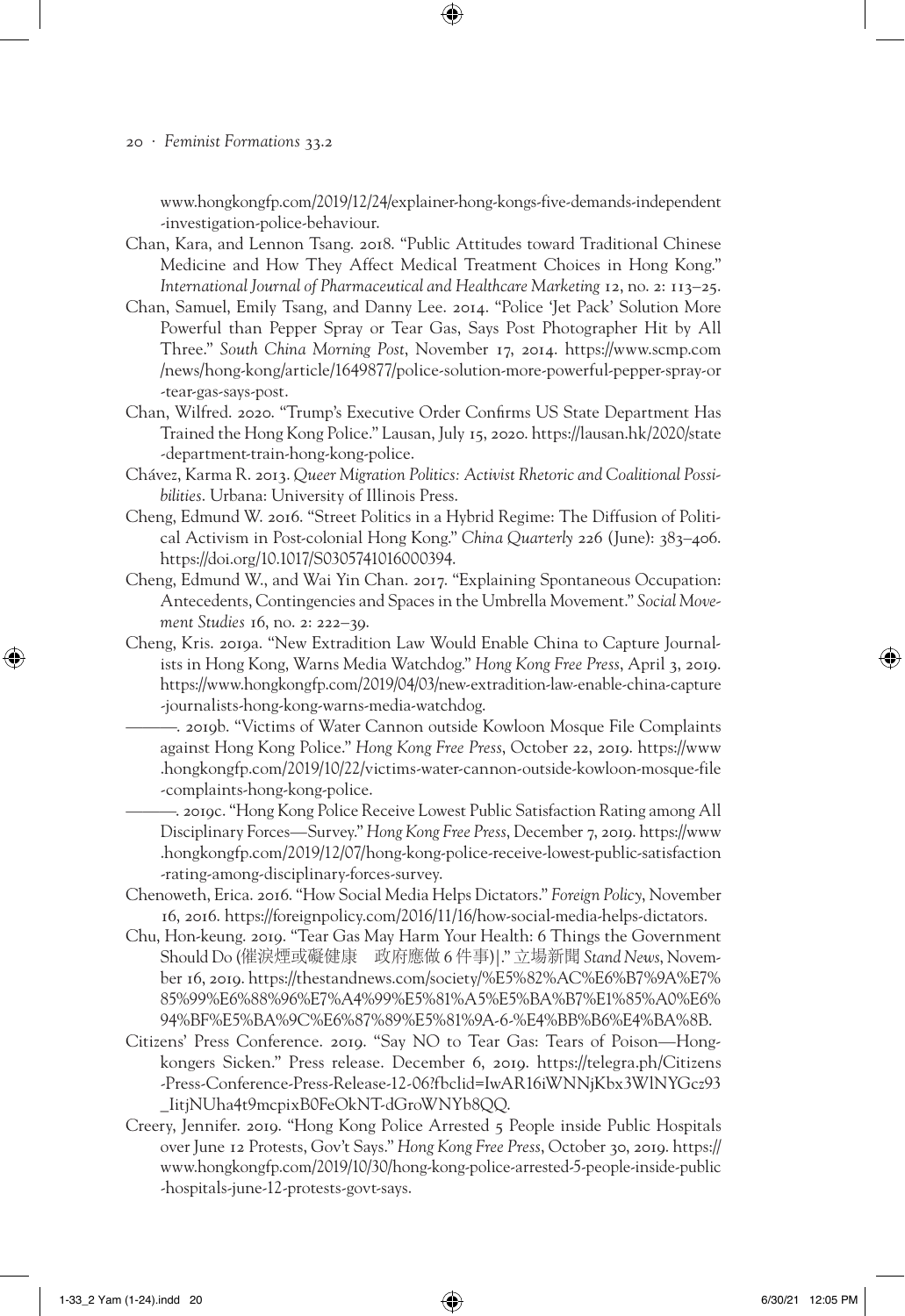www.hongkongfp.com/2019/12/24/explainer-hong-kongs-five-demands-independent -investigation-police-behaviour.

- Chan, Kara, and Lennon Tsang. 2018. "Public Attitudes toward Traditional Chinese Medicine and How They Affect Medical Treatment Choices in Hong Kong." *International Journal of Pharmaceutical and Healthcare Marketing* 12, no. 2: 113–25.
- Chan, Samuel, Emily Tsang, and Danny Lee. 2014. "Police 'Jet Pack' Solution More Powerful than Pepper Spray or Tear Gas, Says Post Photographer Hit by All Three." *South China Morning Post*, November 17, 2014. https://www.scmp.com /news/hong-kong/article/1649877/police-solution-more-powerful-pepper-spray-or -tear-gas-says-post.
- Chan, Wilfred. 2020. "Trump's Executive Order Confirms US State Department Has Trained the Hong Kong Police." Lausan, July 15, 2020. https://lausan.hk/2020/state -department-train-hong-kong-police.
- Chávez, Karma R. 2013. *Queer Migration Politics: Activist Rhetoric and Coalitional Possibilities*. Urbana: University of Illinois Press.
- Cheng, Edmund W. 2016. "Street Politics in a Hybrid Regime: The Diffusion of Political Activism in Post-colonial Hong Kong." *China Quarterly* 226 (June): 383–406. https://doi.org/10.1017/S0305741016000394.
- Cheng, Edmund W., and Wai Yin Chan. 2017. "Explaining Spontaneous Occupation: Antecedents, Contingencies and Spaces in the Umbrella Movement." *Social Movement Studies* 16, no. 2: 222–39.
- Cheng, Kris. 2019a. "New Extradition Law Would Enable China to Capture Journalists in Hong Kong, Warns Media Watchdog." *Hong Kong Free Press*, April 3, 2019. https://www.hongkongfp.com/2019/04/03/new-extradition-law-enable-china-capture -journalists-hong-kong-warns-media-watchdog.
	- ———. 2019b. "Victims of Water Cannon outside Kowloon Mosque File Complaints against Hong Kong Police." *Hong Kong Free Press*, October 22, 2019. https://www .hongkongfp.com/2019/10/22/victims-water-cannon-outside-kowloon-mosque-file -complaints-hong-kong-police.
	- ———. 2019c. "Hong Kong Police Receive Lowest Public Satisfaction Rating among All Disciplinary Forces—Survey." *Hong Kong Free Press*, December 7, 2019. https://www .hongkongfp.com/2019/12/07/hong-kong-police-receive-lowest-public-satisfaction -rating-among-disciplinary-forces-survey.
- Chenoweth, Erica. 2016. "How Social Media Helps Dictators." *Foreign Policy*, November 16, 2016. https://foreignpolicy.com/2016/11/16/how-social-media-helps-dictators.
- Chu, Hon-keung. 2019. "Tear Gas May Harm Your Health: 6 Things the Government Should Do (催淚煙或礙健康 政府應做 6 件事)|." 立場新聞 *Stand News*, November 16, 2019. https://thestandnews.com/society/%E5%82%AC%E6%B7%9A%E7% 85%99%E6%88%96%E7%A4%99%E5%81%A5%E5%BA%B7%E1%85%A0%E6% 94%BF%E5%BA%9C%E6%87%89%E5%81%9A-6-%E4%BB%B6%E4%BA%8B.
- Citizens' Press Conference. 2019. "Say NO to Tear Gas: Tears of Poison—Hongkongers Sicken." Press release. December 6, 2019. https://telegra.ph/Citizens -Press-Conference-Press-Release-12-06?fbclid=IwAR16iWNNjKbx3WlNYGcz93 \_IitjNUha4t9mcpixB0FeOkNT-dGroWNYb8QQ.
- Creery, Jennifer. 2019. "Hong Kong Police Arrested 5 People inside Public Hospitals over June 12 Protests, Gov't Says." *Hong Kong Free Press*, October 30, 2019. https:// www.hongkongfp.com/2019/10/30/hong-kong-police-arrested-5-people-inside-public -hospitals-june-12-protests-govt-says.

⊕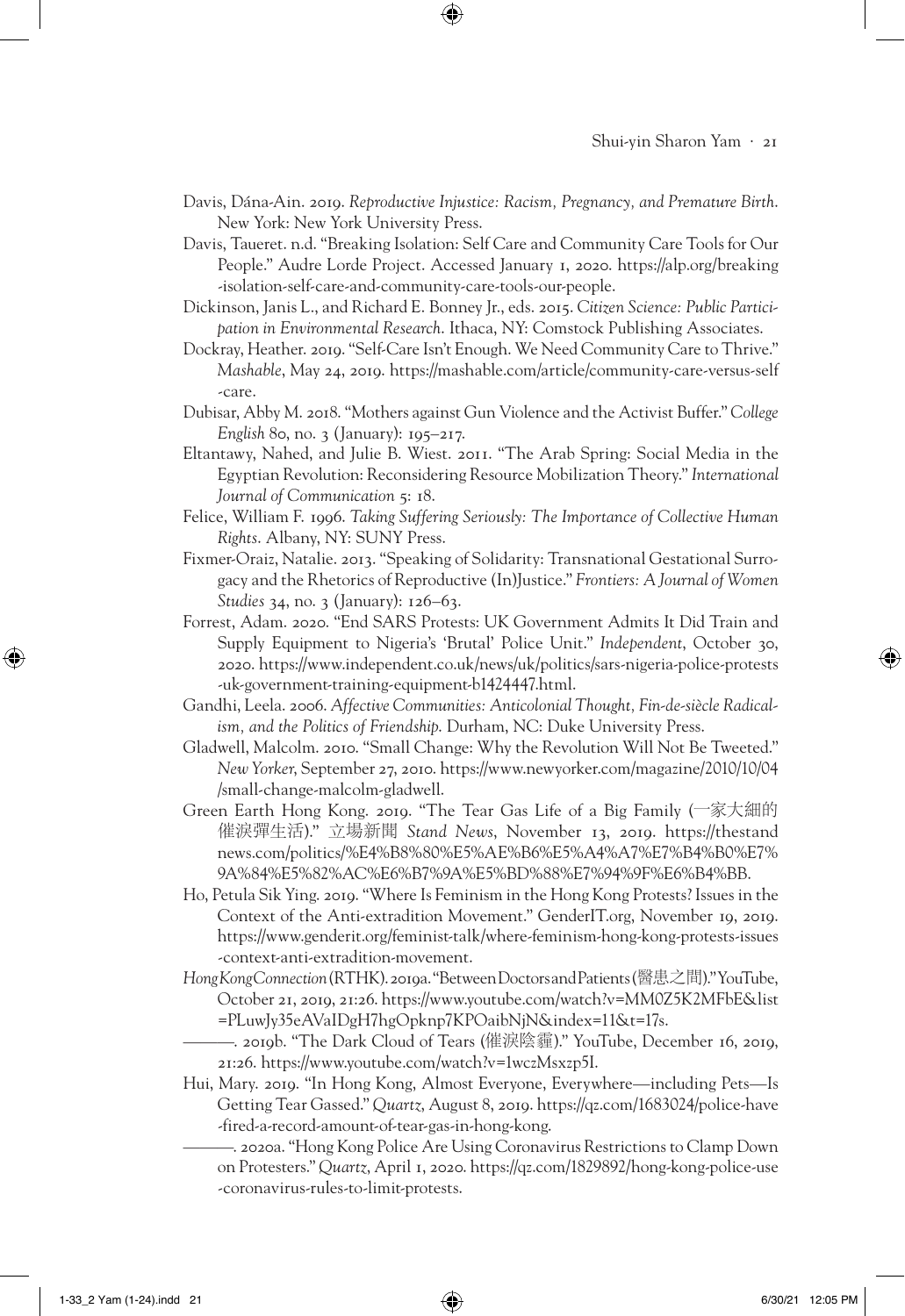- Davis, Dána-Ain. 2019. *Reproductive Injustice: Racism, Pregnancy, and Premature Birth*. New York: New York University Press.
- Davis, Taueret. n.d. "Breaking Isolation: Self Care and Community Care Tools for Our People." Audre Lorde Project. Accessed January 1, 2020. https://alp.org/breaking -isolation-self-care-and-community-care-tools-our-people.
- Dickinson, Janis L., and Richard E. Bonney Jr., eds. 2015. *Citizen Science: Public Participation in Environmental Research*. Ithaca, NY: Comstock Publishing Associates.
- Dockray, Heather. 2019. "Self-Care Isn't Enough. We Need Community Care to Thrive." *Mashable*, May 24, 2019. https://mashable.com/article/community-care-versus-self -care.
- Dubisar, Abby M. 2018. "Mothers against Gun Violence and the Activist Buffer." *College English* 80, no. 3 (January): 195–217.
- Eltantawy, Nahed, and Julie B. Wiest. 2011. "The Arab Spring: Social Media in the Egyptian Revolution: Reconsidering Resource Mobilization Theory." *International Journal of Communication* 5: 18.
- Felice, William F. 1996. *Taking Suffering Seriously: The Importance of Collective Human Rights*. Albany, NY: SUNY Press.
- Fixmer-Oraiz, Natalie. 2013. "Speaking of Solidarity: Transnational Gestational Surrogacy and the Rhetorics of Reproductive (In)Justice." *Frontiers: A Journal of Women Studies* 34, no. 3 (January): 126–63.
- Forrest, Adam. 2020. "End SARS Protests: UK Government Admits It Did Train and Supply Equipment to Nigeria's 'Brutal' Police Unit." *Independent*, October 30, 2020. https://www.independent.co.uk/news/uk/politics/sars-nigeria-police-protests -uk-government-training-equipment-b1424447.html.
- Gandhi, Leela. 2006. *Affective Communities: Anticolonial Thought, Fin-de-siècle Radicalism, and the Politics of Friendship*. Durham, NC: Duke University Press.
- Gladwell, Malcolm. 2010. "Small Change: Why the Revolution Will Not Be Tweeted." *New Yorker*, September 27, 2010. https://www.newyorker.com/magazine/2010/10/04 /small-change-malcolm-gladwell.
- Green Earth Hong Kong. 2019. "The Tear Gas Life of a Big Family (一家大細的 催淚彈生活)." 立場新聞 *Stand News*, November 13, 2019. https://thestand news.com/politics/%E4%B8%80%E5%AE%B6%E5%A4%A7%E7%B4%B0%E7% 9A%84%E5%82%AC%E6%B7%9A%E5%BD%88%E7%94%9F%E6%B4%BB.
- Ho, Petula Sik Ying. 2019. "Where Is Feminism in the Hong Kong Protests? Issues in the Context of the Anti-extradition Movement." GenderIT.org, November 19, 2019. https://www.genderit.org/feminist-talk/where-feminism-hong-kong-protests-issues -context-anti-extradition-movement.
- *Hong Kong Connection* (RTHK). 2019a. "Between Doctors and Patients (醫患之間)." YouTube, October 21, 2019, 21:26. https://www.youtube.com/watch?v=MM0Z5K2MFbE&list =PLuwJy35eAVaIDgH7hgOpknp7KPOaibNjN&index=11&t=17s.
	- ———. 2019b. "The Dark Cloud of Tears (催淚陰霾)." YouTube, December 16, 2019, 21:26. https://www.youtube.com/watch?v=1wczMsxzp5I.
- Hui, Mary. 2019. "In Hong Kong, Almost Everyone, Everywhere—including Pets—Is Getting Tear Gassed." *Quartz*, August 8, 2019. https://qz.com/1683024/police-have -fired-a-record-amount-of-tear-gas-in-hong-kong.
	- ———. 2020a. "Hong Kong Police Are Using Coronavirus Restrictions to Clamp Down on Protesters." *Quartz*, April 1, 2020. https://qz.com/1829892/hong-kong-police-use -coronavirus-rules-to-limit-protests.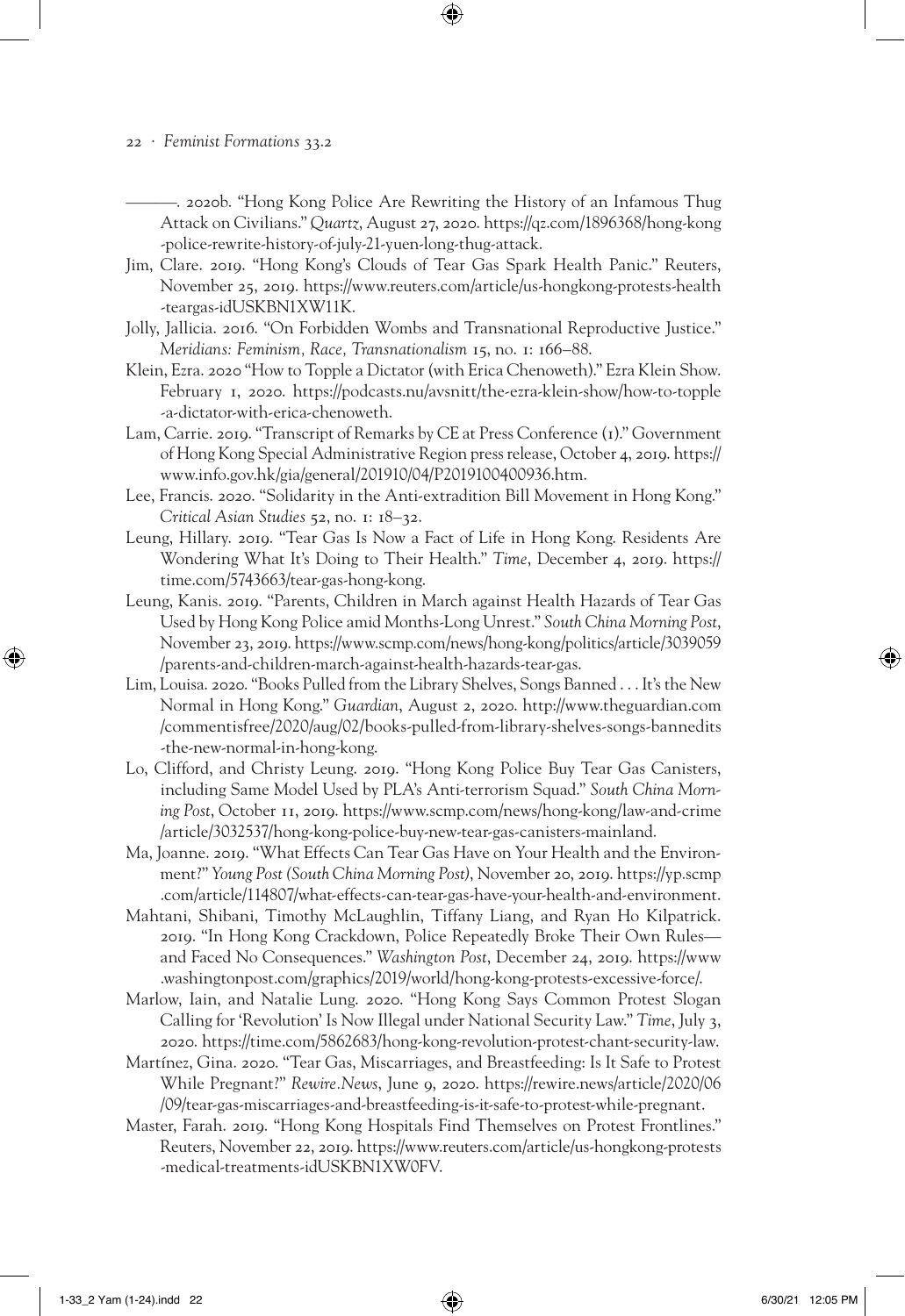- 2020b. "Hong Kong Police Are Rewriting the History of an Infamous Thug Attack on Civilians." *Quartz*, August 27, 2020. https://qz.com/1896368/hong-kong -police-rewrite-history-of-july-21-yuen-long-thug-attack.

⊕

- Jim, Clare. 2019. "Hong Kong's Clouds of Tear Gas Spark Health Panic." Reuters, November 25, 2019. https://www.reuters.com/article/us-hongkong-protests-health -teargas-idUSKBN1XW11K.
- Jolly, Jallicia. 2016. "On Forbidden Wombs and Transnational Reproductive Justice." *Meridians: Feminism, Race, Transnationalism* 15, no. 1: 166–88.
- Klein, Ezra. 2020 "How to Topple a Dictator (with Erica Chenoweth)." Ezra Klein Show. February 1, 2020. https://podcasts.nu/avsnitt/the-ezra-klein-show/how-to-topple -a-dictator-with-erica-chenoweth.
- Lam, Carrie. 2019. "Transcript of Remarks by CE at Press Conference (1)." Government of Hong Kong Special Administrative Region press release, October 4, 2019. https:// www.info.gov.hk/gia/general/201910/04/P2019100400936.htm.
- Lee, Francis. 2020. "Solidarity in the Anti-extradition Bill Movement in Hong Kong." *Critical Asian Studies* 52, no. 1: 18–32.
- Leung, Hillary. 2019. "Tear Gas Is Now a Fact of Life in Hong Kong. Residents Are Wondering What It's Doing to Their Health." *Time*, December 4, 2019. https:// time.com/5743663/tear-gas-hong-kong.
- Leung, Kanis. 2019. "Parents, Children in March against Health Hazards of Tear Gas Used by Hong Kong Police amid Months-Long Unrest." *South China Morning Post*, November 23, 2019. https://www.scmp.com/news/hong-kong/politics/article/3039059 /parents-and-children-march-against-health-hazards-tear-gas.
- Lim, Louisa. 2020. "Books Pulled from the Library Shelves, Songs Banned . . . It's the New Normal in Hong Kong." *Guardian*, August 2, 2020. http://www.theguardian.com /commentisfree/2020/aug/02/books-pulled-from-library-shelves-songs-bannedits -the-new-normal-in-hong-kong.
- Lo, Clifford, and Christy Leung. 2019. "Hong Kong Police Buy Tear Gas Canisters, including Same Model Used by PLA's Anti-terrorism Squad." *South China Morning Post*, October 11, 2019. https://www.scmp.com/news/hong-kong/law-and-crime /article/3032537/hong-kong-police-buy-new-tear-gas-canisters-mainland.
- Ma, Joanne. 2019. "What Effects Can Tear Gas Have on Your Health and the Environment?" *Young Post (South China Morning Post)*, November 20, 2019. https://yp.scmp .com/article/114807/what-effects-can-tear-gas-have-your-health-and-environment.
- Mahtani, Shibani, Timothy McLaughlin, Tiffany Liang, and Ryan Ho Kilpatrick. 2019. "In Hong Kong Crackdown, Police Repeatedly Broke Their Own Rules and Faced No Consequences." *Washington Post*, December 24, 2019. https://www .washingtonpost.com/graphics/2019/world/hong-kong-protests-excessive-force/.
- Marlow, Iain, and Natalie Lung. 2020. "Hong Kong Says Common Protest Slogan Calling for 'Revolution' Is Now Illegal under National Security Law." *Time*, July 3, 2020. https://time.com/5862683/hong-kong-revolution-protest-chant-security-law.
- Martínez, Gina. 2020. "Tear Gas, Miscarriages, and Breastfeeding: Is It Safe to Protest While Pregnant?" *Rewire.News*, June 9, 2020. https://rewire.news/article/2020/06 /09/tear-gas-miscarriages-and-breastfeeding-is-it-safe-to-protest-while-pregnant.
- Master, Farah. 2019. "Hong Kong Hospitals Find Themselves on Protest Frontlines." Reuters, November 22, 2019. https://www.reuters.com/article/us-hongkong-protests -medical-treatments-idUSKBN1XW0FV.

1-33\_2 Yam (1-24).indd 22 6/30/21 12:05 PM

⊕

<sup>22</sup> · *Feminist Formations* 33.2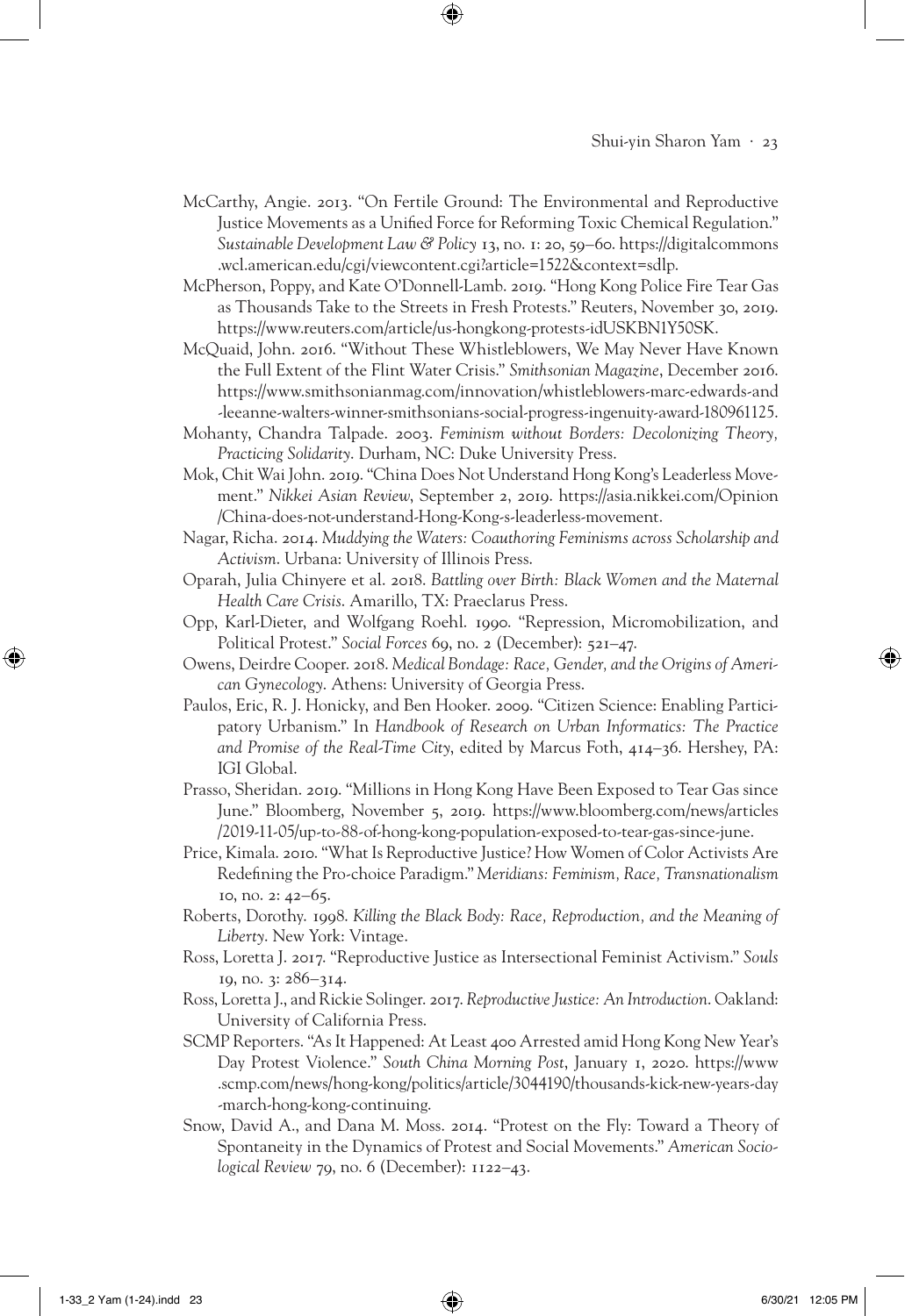## Shui-yin Sharon Yam · 23

McCarthy, Angie. 2013. "On Fertile Ground: The Environmental and Reproductive Justice Movements as a Unified Force for Reforming Toxic Chemical Regulation." *Sustainable Development Law & Policy* 13, no. 1: 20, 59–60. https://digitalcommons .wcl.american.edu/cgi/viewcontent.cgi?article=1522&context=sdlp.

⊕

- McPherson, Poppy, and Kate O'Donnell-Lamb. 2019. "Hong Kong Police Fire Tear Gas as Thousands Take to the Streets in Fresh Protests." Reuters, November 30, 2019. https://www.reuters.com/article/us-hongkong-protests-idUSKBN1Y50SK.
- McQuaid, John. 2016. "Without These Whistleblowers, We May Never Have Known the Full Extent of the Flint Water Crisis." *Smithsonian Magazine*, December 2016. https://www.smithsonianmag.com/innovation/whistleblowers-marc-edwards-and -leeanne-walters-winner-smithsonians-social-progress-ingenuity-award-180961125.
- Mohanty, Chandra Talpade. 2003. *Feminism without Borders: Decolonizing Theory, Practicing Solidarity*. Durham, NC: Duke University Press.
- Mok, Chit Wai John. 2019. "China Does Not Understand Hong Kong's Leaderless Movement." *Nikkei Asian Review*, September 2, 2019. https://asia.nikkei.com/Opinion /China-does-not-understand-Hong-Kong-s-leaderless-movement.
- Nagar, Richa. 2014. *Muddying the Waters: Coauthoring Feminisms across Scholarship and Activism*. Urbana: University of Illinois Press.
- Oparah, Julia Chinyere et al. 2018. *Battling over Birth: Black Women and the Maternal Health Care Crisis*. Amarillo, TX: Praeclarus Press.
- Opp, Karl-Dieter, and Wolfgang Roehl. 1990. "Repression, Micromobilization, and Political Protest." *Social Forces* 69, no. 2 (December): 521–47.
- Owens, Deirdre Cooper. 2018. *Medical Bondage: Race, Gender, and the Origins of American Gynecology*. Athens: University of Georgia Press.
- Paulos, Eric, R. J. Honicky, and Ben Hooker. 2009. "Citizen Science: Enabling Participatory Urbanism." In *Handbook of Research on Urban Informatics: The Practice and Promise of the Real-Time City*, edited by Marcus Foth, 414–36. Hershey, PA: IGI Global.
- Prasso, Sheridan. 2019. "Millions in Hong Kong Have Been Exposed to Tear Gas since June." Bloomberg, November 5, 2019. https://www.bloomberg.com/news/articles /2019-11-05/up-to-88-of-hong-kong-population-exposed-to-tear-gas-since-june.
- Price, Kimala. 2010. "What Is Reproductive Justice? How Women of Color Activists Are Redefining the Pro-choice Paradigm." *Meridians: Feminism, Race, Transnationalism* 10, no. 2: 42–65.
- Roberts, Dorothy. 1998. *Killing the Black Body: Race, Reproduction, and the Meaning of Liberty*. New York: Vintage.
- Ross, Loretta J. 2017. "Reproductive Justice as Intersectional Feminist Activism." *Souls* 19, no. 3: 286–314.
- Ross, Loretta J., and Rickie Solinger. 2017. *Reproductive Justice: An Introduction*. Oakland: University of California Press.
- SCMP Reporters. "As It Happened: At Least 400 Arrested amid Hong Kong New Year's Day Protest Violence." *South China Morning Post*, January 1, 2020. https://www .scmp.com/news/hong-kong/politics/article/3044190/thousands-kick-new-years-day -march-hong-kong-continuing.
- Snow, David A., and Dana M. Moss. 2014. "Protest on the Fly: Toward a Theory of Spontaneity in the Dynamics of Protest and Social Movements." *American Sociological Review* 79, no. 6 (December): 1122–43.

1-33\_2 Yam (1-24).indd 23 6/30/21 12:05 PM

⊕